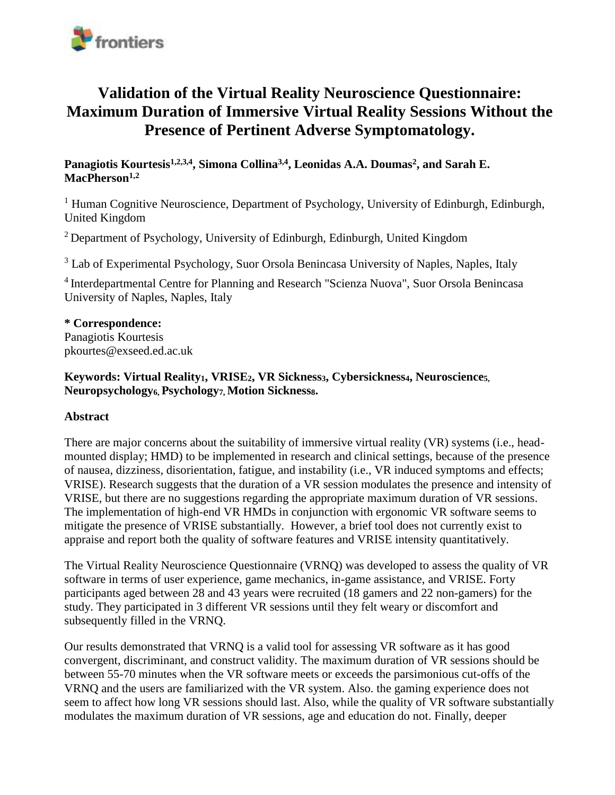

# **Validation of the Virtual Reality Neuroscience Questionnaire: Maximum Duration of Immersive Virtual Reality Sessions Without the Presence of Pertinent Adverse Symptomatology.**

**Panagiotis Kourtesis1,2,3,4 , Simona Collina3,4 , Leonidas A.A. Doumas<sup>2</sup> , and Sarah E. MacPherson1,2**

<sup>1</sup> Human Cognitive Neuroscience, Department of Psychology, University of Edinburgh, Edinburgh, United Kingdom

<sup>2</sup> Department of Psychology, University of Edinburgh, Edinburgh, United Kingdom

<sup>3</sup> Lab of Experimental Psychology, Suor Orsola Benincasa University of Naples, Naples, Italy

<sup>4</sup>Interdepartmental Centre for Planning and Research "Scienza Nuova", Suor Orsola Benincasa University of Naples, Naples, Italy

#### **\* Correspondence:**

Panagiotis Kourtesis pkourtes@exseed.ed.ac.uk

#### **Keywords: Virtual Reality1, VRISE2, VR Sickness3, Cybersickness4, Neuroscience5, Neuropsychology6, Psychology7, Motion Sickness8.**

#### **Abstract**

There are major concerns about the suitability of immersive virtual reality (VR) systems (i.e., headmounted display; HMD) to be implemented in research and clinical settings, because of the presence of nausea, dizziness, disorientation, fatigue, and instability (i.e., VR induced symptoms and effects; VRISE). Research suggests that the duration of a VR session modulates the presence and intensity of VRISE, but there are no suggestions regarding the appropriate maximum duration of VR sessions. The implementation of high-end VR HMDs in conjunction with ergonomic VR software seems to mitigate the presence of VRISE substantially. However, a brief tool does not currently exist to appraise and report both the quality of software features and VRISE intensity quantitatively.

The Virtual Reality Neuroscience Questionnaire (VRNQ) was developed to assess the quality of VR software in terms of user experience, game mechanics, in-game assistance, and VRISE. Forty participants aged between 28 and 43 years were recruited (18 gamers and 22 non-gamers) for the study. They participated in 3 different VR sessions until they felt weary or discomfort and subsequently filled in the VRNQ.

Our results demonstrated that VRNQ is a valid tool for assessing VR software as it has good convergent, discriminant, and construct validity. The maximum duration of VR sessions should be between 55-70 minutes when the VR software meets or exceeds the parsimonious cut-offs of the VRNQ and the users are familiarized with the VR system. Also. the gaming experience does not seem to affect how long VR sessions should last. Also, while the quality of VR software substantially modulates the maximum duration of VR sessions, age and education do not. Finally, deeper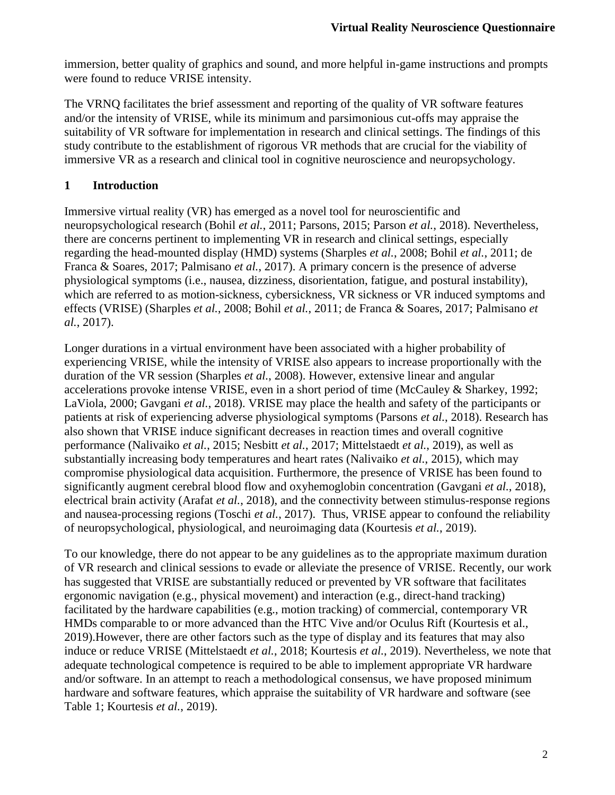immersion, better quality of graphics and sound, and more helpful in-game instructions and prompts were found to reduce VRISE intensity.

The VRNQ facilitates the brief assessment and reporting of the quality of VR software features and/or the intensity of VRISE, while its minimum and parsimonious cut-offs may appraise the suitability of VR software for implementation in research and clinical settings. The findings of this study contribute to the establishment of rigorous VR methods that are crucial for the viability of immersive VR as a research and clinical tool in cognitive neuroscience and neuropsychology.

# **1 Introduction**

Immersive virtual reality (VR) has emerged as a novel tool for neuroscientific and neuropsychological research (Bohil *et al.*, 2011; Parsons, 2015; Parson *et al.*, 2018). Nevertheless, there are concerns pertinent to implementing VR in research and clinical settings, especially regarding the head-mounted display (HMD) systems (Sharples *et al.*, 2008; Bohil *et al.*, 2011; de Franca & Soares, 2017; Palmisano *et al.*, 2017). A primary concern is the presence of adverse physiological symptoms (i.e., nausea, dizziness, disorientation, fatigue, and postural instability), which are referred to as motion-sickness, cybersickness, VR sickness or VR induced symptoms and effects (VRISE) (Sharples *et al.*, 2008; Bohil *et al.*, 2011; de Franca & Soares, 2017; Palmisano *et al.*, 2017).

Longer durations in a virtual environment have been associated with a higher probability of experiencing VRISE, while the intensity of VRISE also appears to increase proportionally with the duration of the VR session (Sharples *et al.*, 2008). However, extensive linear and angular accelerations provoke intense VRISE, even in a short period of time (McCauley & Sharkey, 1992; LaViola, 2000; Gavgani *et al.*, 2018). VRISE may place the health and safety of the participants or patients at risk of experiencing adverse physiological symptoms (Parsons *et al.*, 2018). Research has also shown that VRISE induce significant decreases in reaction times and overall cognitive performance (Nalivaiko *et al.*, 2015; Nesbitt *et al.*, 2017; Mittelstaedt *et al.*, 2019), as well as substantially increasing body temperatures and heart rates (Nalivaiko *et al.*, 2015), which may compromise physiological data acquisition. Furthermore, the presence of VRISE has been found to significantly augment cerebral blood flow and oxyhemoglobin concentration (Gavgani *et al.*, 2018), electrical brain activity (Arafat *et al.*, 2018), and the connectivity between stimulus-response regions and nausea-processing regions (Toschi *et al.*, 2017). Thus, VRISE appear to confound the reliability of neuropsychological, physiological, and neuroimaging data (Kourtesis *et al.*, 2019).

To our knowledge, there do not appear to be any guidelines as to the appropriate maximum duration of VR research and clinical sessions to evade or alleviate the presence of VRISE. Recently, our work has suggested that VRISE are substantially reduced or prevented by VR software that facilitates ergonomic navigation (e.g., physical movement) and interaction (e.g., direct-hand tracking) facilitated by the hardware capabilities (e.g., motion tracking) of commercial, contemporary VR HMDs comparable to or more advanced than the HTC Vive and/or Oculus Rift (Kourtesis et al., 2019).However, there are other factors such as the type of display and its features that may also induce or reduce VRISE (Mittelstaedt *et al.*, 2018; Kourtesis *et al.*, 2019). Nevertheless, we note that adequate technological competence is required to be able to implement appropriate VR hardware and/or software. In an attempt to reach a methodological consensus, we have proposed minimum hardware and software features, which appraise the suitability of VR hardware and software (see Table 1; Kourtesis *et al.*, 2019).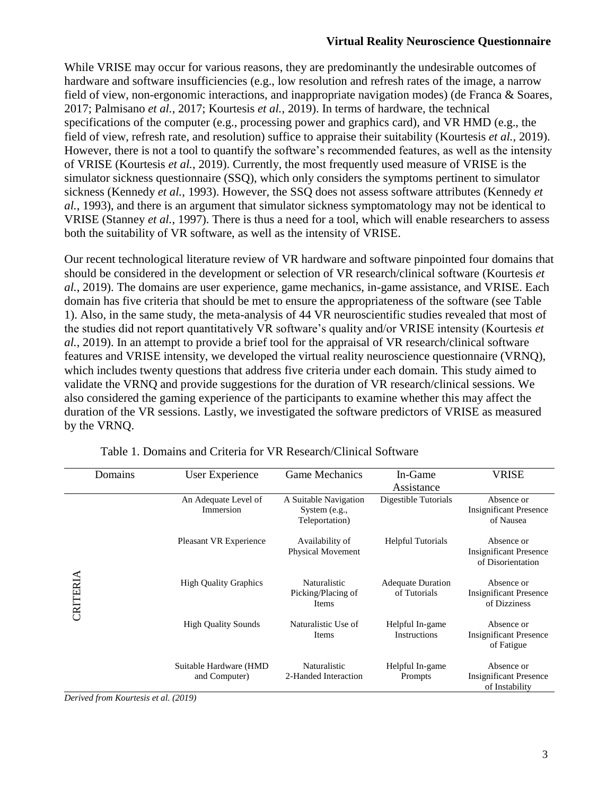While VRISE may occur for various reasons, they are predominantly the undesirable outcomes of hardware and software insufficiencies (e.g., low resolution and refresh rates of the image, a narrow field of view, non-ergonomic interactions, and inappropriate navigation modes) (de Franca & Soares, 2017; Palmisano *et al.*, 2017; Kourtesis *et al.*, 2019). In terms of hardware, the technical specifications of the computer (e.g., processing power and graphics card), and VR HMD (e.g., the field of view, refresh rate, and resolution) suffice to appraise their suitability (Kourtesis *et al.*, 2019). However, there is not a tool to quantify the software's recommended features, as well as the intensity of VRISE (Kourtesis *et al.*, 2019). Currently, the most frequently used measure of VRISE is the simulator sickness questionnaire (SSQ), which only considers the symptoms pertinent to simulator sickness (Kennedy *et al.*, 1993). However, the SSQ does not assess software attributes (Kennedy *et al.*, 1993), and there is an argument that simulator sickness symptomatology may not be identical to VRISE (Stanney *et al.*, 1997). There is thus a need for a tool, which will enable researchers to assess both the suitability of VR software, as well as the intensity of VRISE.

Our recent technological literature review of VR hardware and software pinpointed four domains that should be considered in the development or selection of VR research/clinical software (Kourtesis *et al.*, 2019). The domains are user experience, game mechanics, in-game assistance, and VRISE. Each domain has five criteria that should be met to ensure the appropriateness of the software (see Table 1). Also, in the same study, the meta-analysis of 44 VR neuroscientific studies revealed that most of the studies did not report quantitatively VR software's quality and/or VRISE intensity (Kourtesis *et al.*, 2019). In an attempt to provide a brief tool for the appraisal of VR research/clinical software features and VRISE intensity, we developed the virtual reality neuroscience questionnaire (VRNQ), which includes twenty questions that address five criteria under each domain. This study aimed to validate the VRNQ and provide suggestions for the duration of VR research/clinical sessions. We also considered the gaming experience of the participants to examine whether this may affect the duration of the VR sessions. Lastly, we investigated the software predictors of VRISE as measured by the VRNQ.

|                 | Domains | User Experience                         | <b>Game Mechanics</b>                                    | In-Game                                  | <b>VRISE</b>                                                     |
|-----------------|---------|-----------------------------------------|----------------------------------------------------------|------------------------------------------|------------------------------------------------------------------|
|                 |         |                                         |                                                          | Assistance                               |                                                                  |
|                 |         | An Adequate Level of<br>Immersion       | A Suitable Navigation<br>System (e.g.,<br>Teleportation) | Digestible Tutorials                     | Absence or<br><b>Insignificant Presence</b><br>of Nausea         |
|                 |         | Pleasant VR Experience                  | Availability of<br><b>Physical Movement</b>              | <b>Helpful Tutorials</b>                 | Absence or<br><b>Insignificant Presence</b><br>of Disorientation |
| <b>CRITERIA</b> |         | <b>High Quality Graphics</b>            | <b>Naturalistic</b><br>Picking/Placing of<br>Items       | <b>Adequate Duration</b><br>of Tutorials | Absence or<br><b>Insignificant Presence</b><br>of Dizziness      |
|                 |         | <b>High Quality Sounds</b>              | Naturalistic Use of<br>Items                             | Helpful In-game<br>Instructions          | Absence or<br><b>Insignificant Presence</b><br>of Fatigue        |
|                 |         | Suitable Hardware (HMD<br>and Computer) | Naturalistic<br>2-Handed Interaction                     | Helpful In-game<br>Prompts               | Absence or<br><b>Insignificant Presence</b><br>of Instability    |

Table 1. Domains and Criteria for VR Research/Clinical Software

*Derived from Kourtesis et al. (2019)*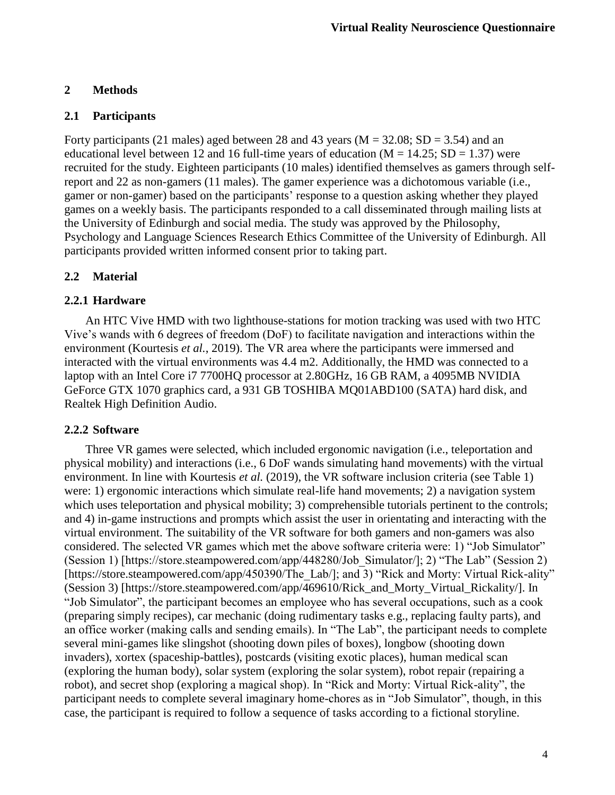# **2 Methods**

# **2.1 Participants**

Forty participants (21 males) aged between 28 and 43 years ( $M = 32.08$ ; SD = 3.54) and an educational level between 12 and 16 full-time years of education ( $M = 14.25$ ; SD = 1.37) were recruited for the study. Eighteen participants (10 males) identified themselves as gamers through selfreport and 22 as non-gamers (11 males). The gamer experience was a dichotomous variable (i.e., gamer or non-gamer) based on the participants' response to a question asking whether they played games on a weekly basis. The participants responded to a call disseminated through mailing lists at the University of Edinburgh and social media. The study was approved by the Philosophy, Psychology and Language Sciences Research Ethics Committee of the University of Edinburgh. All participants provided written informed consent prior to taking part.

# **2.2 Material**

# **2.2.1 Hardware**

 An HTC Vive HMD with two lighthouse-stations for motion tracking was used with two HTC Vive's wands with 6 degrees of freedom (DoF) to facilitate navigation and interactions within the environment (Kourtesis *et al.*, 2019). The VR area where the participants were immersed and interacted with the virtual environments was 4.4 m2. Additionally, the HMD was connected to a laptop with an Intel Core i7 7700HQ processor at 2.80GHz, 16 GB RAM, a 4095MB NVIDIA GeForce GTX 1070 graphics card, a 931 GB TOSHIBA MQ01ABD100 (SATA) hard disk, and Realtek High Definition Audio.

# **2.2.2 Software**

 Three VR games were selected, which included ergonomic navigation (i.e., teleportation and physical mobility) and interactions (i.e., 6 DoF wands simulating hand movements) with the virtual environment. In line with Kourtesis *et al.* (2019), the VR software inclusion criteria (see Table 1) were: 1) ergonomic interactions which simulate real-life hand movements; 2) a navigation system which uses teleportation and physical mobility; 3) comprehensible tutorials pertinent to the controls; and 4) in-game instructions and prompts which assist the user in orientating and interacting with the virtual environment. The suitability of the VR software for both gamers and non-gamers was also considered. The selected VR games which met the above software criteria were: 1) "Job Simulator" (Session 1) [https://store.steampowered.com/app/448280/Job\_Simulator/]; 2) "The Lab" (Session 2) [https://store.steampowered.com/app/450390/The\_Lab/]; and 3) "Rick and Morty: Virtual Rick-ality" (Session 3) [https://store.steampowered.com/app/469610/Rick\_and\_Morty\_Virtual\_Rickality/]. In "Job Simulator", the participant becomes an employee who has several occupations, such as a cook (preparing simply recipes), car mechanic (doing rudimentary tasks e.g., replacing faulty parts), and an office worker (making calls and sending emails). In "The Lab", the participant needs to complete several mini-games like slingshot (shooting down piles of boxes), longbow (shooting down invaders), xortex (spaceship-battles), postcards (visiting exotic places), human medical scan (exploring the human body), solar system (exploring the solar system), robot repair (repairing a robot), and secret shop (exploring a magical shop). In "Rick and Morty: Virtual Rick-ality", the participant needs to complete several imaginary home-chores as in "Job Simulator", though, in this case, the participant is required to follow a sequence of tasks according to a fictional storyline.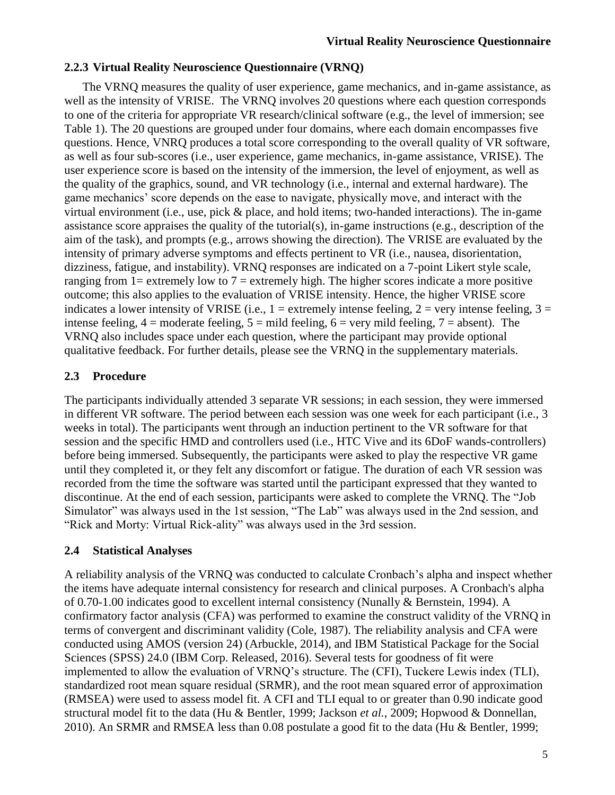# **2.2.3 Virtual Reality Neuroscience Questionnaire (VRNQ)**

 The VRNQ measures the quality of user experience, game mechanics, and in-game assistance, as well as the intensity of VRISE. The VRNQ involves 20 questions where each question corresponds to one of the criteria for appropriate VR research/clinical software (e.g., the level of immersion; see Table 1). The 20 questions are grouped under four domains, where each domain encompasses five questions. Hence, VNRQ produces a total score corresponding to the overall quality of VR software, as well as four sub-scores (i.e., user experience, game mechanics, in-game assistance, VRISE). The user experience score is based on the intensity of the immersion, the level of enjoyment, as well as the quality of the graphics, sound, and VR technology (i.e., internal and external hardware). The game mechanics' score depends on the ease to navigate, physically move, and interact with the virtual environment (i.e., use, pick & place, and hold items; two-handed interactions). The in-game assistance score appraises the quality of the tutorial(s), in-game instructions (e.g., description of the aim of the task), and prompts (e.g., arrows showing the direction). The VRISE are evaluated by the intensity of primary adverse symptoms and effects pertinent to VR (i.e., nausea, disorientation, dizziness, fatigue, and instability). VRNQ responses are indicated on a 7-point Likert style scale, ranging from  $1 =$  extremely low to  $7 =$  extremely high. The higher scores indicate a more positive outcome; this also applies to the evaluation of VRISE intensity. Hence, the higher VRISE score indicates a lower intensity of VRISE (i.e.,  $1 =$  extremely intense feeling,  $2 =$  very intense feeling,  $3 =$ intense feeling,  $4 =$  moderate feeling,  $5 =$  mild feeling,  $6 =$  very mild feeling,  $7 =$  absent). The VRNQ also includes space under each question, where the participant may provide optional qualitative feedback. For further details, please see the VRNQ in the supplementary materials.

# **2.3 Procedure**

The participants individually attended 3 separate VR sessions; in each session, they were immersed in different VR software. The period between each session was one week for each participant (i.e., 3 weeks in total). The participants went through an induction pertinent to the VR software for that session and the specific HMD and controllers used (i.e., HTC Vive and its 6DoF wands-controllers) before being immersed. Subsequently, the participants were asked to play the respective VR game until they completed it, or they felt any discomfort or fatigue. The duration of each VR session was recorded from the time the software was started until the participant expressed that they wanted to discontinue. At the end of each session, participants were asked to complete the VRNQ. The "Job Simulator" was always used in the 1st session, "The Lab" was always used in the 2nd session, and "Rick and Morty: Virtual Rick-ality" was always used in the 3rd session.

# **2.4 Statistical Analyses**

A reliability analysis of the VRNQ was conducted to calculate Cronbach's alpha and inspect whether the items have adequate internal consistency for research and clinical purposes. A Cronbach's alpha of 0.70-1.00 indicates good to excellent internal consistency (Nunally & Bernstein, 1994). A confirmatory factor analysis (CFA) was performed to examine the construct validity of the VRNQ in terms of convergent and discriminant validity (Cole, 1987). The reliability analysis and CFA were conducted using AMOS (version 24) (Arbuckle, 2014), and IBM Statistical Package for the Social Sciences (SPSS) 24.0 (IBM Corp. Released, 2016). Several tests for goodness of fit were implemented to allow the evaluation of VRNQ's structure. The (CFI), Tuckere Lewis index (TLI), standardized root mean square residual (SRMR), and the root mean squared error of approximation (RMSEA) were used to assess model fit. A CFI and TLI equal to or greater than 0.90 indicate good structural model fit to the data (Hu & Bentler, 1999; Jackson *et al.*, 2009; Hopwood & Donnellan, 2010). An SRMR and RMSEA less than 0.08 postulate a good fit to the data (Hu & Bentler, 1999;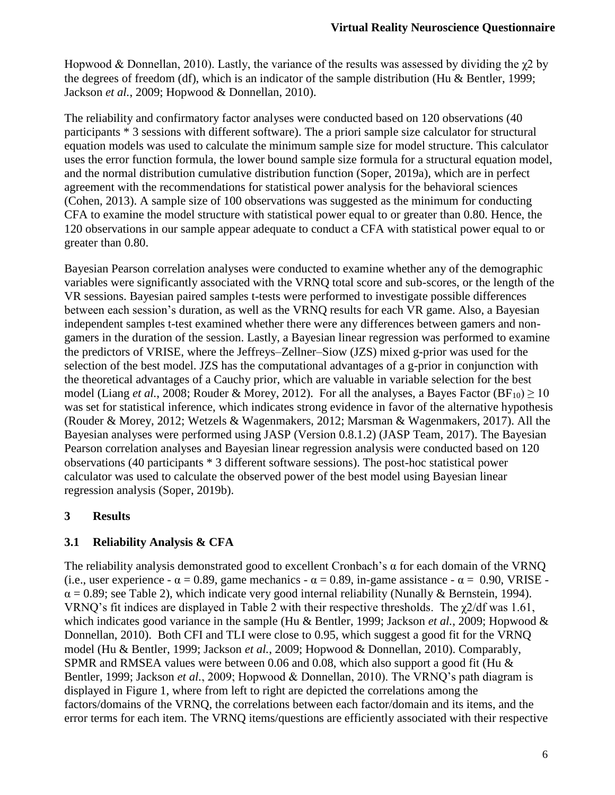Hopwood & Donnellan, 2010). Lastly, the variance of the results was assessed by dividing the  $\chi$ 2 by the degrees of freedom (df), which is an indicator of the sample distribution (Hu & Bentler, 1999; Jackson *et al.*, 2009; Hopwood & Donnellan, 2010).

The reliability and confirmatory factor analyses were conducted based on 120 observations (40 participants \* 3 sessions with different software). The a priori sample size calculator for structural equation models was used to calculate the minimum sample size for model structure. This calculator uses the error function formula, the lower bound sample size formula for a structural equation model, and the normal distribution cumulative distribution function (Soper, 2019a), which are in perfect agreement with the recommendations for statistical power analysis for the behavioral sciences (Cohen, 2013). A sample size of 100 observations was suggested as the minimum for conducting CFA to examine the model structure with statistical power equal to or greater than 0.80. Hence, the 120 observations in our sample appear adequate to conduct a CFA with statistical power equal to or greater than 0.80.

Bayesian Pearson correlation analyses were conducted to examine whether any of the demographic variables were significantly associated with the VRNQ total score and sub-scores, or the length of the VR sessions. Bayesian paired samples t-tests were performed to investigate possible differences between each session's duration, as well as the VRNQ results for each VR game. Also, a Bayesian independent samples t-test examined whether there were any differences between gamers and nongamers in the duration of the session. Lastly, a Bayesian linear regression was performed to examine the predictors of VRISE, where the Jeffreys–Zellner–Siow (JZS) mixed g-prior was used for the selection of the best model. JZS has the computational advantages of a g-prior in conjunction with the theoretical advantages of a Cauchy prior, which are valuable in variable selection for the best model (Liang *et al.*, 2008; Rouder & Morey, 2012). For all the analyses, a Bayes Factor (BF<sub>10</sub>)  $\geq$  10 was set for statistical inference, which indicates strong evidence in favor of the alternative hypothesis (Rouder & Morey, 2012; Wetzels & Wagenmakers, 2012; Marsman & Wagenmakers, 2017). All the Bayesian analyses were performed using JASP (Version 0.8.1.2) (JASP Team, 2017). The Bayesian Pearson correlation analyses and Bayesian linear regression analysis were conducted based on 120 observations (40 participants \* 3 different software sessions). The post-hoc statistical power calculator was used to calculate the observed power of the best model using Bayesian linear regression analysis (Soper, 2019b).

# **3 Results**

# **3.1 Reliability Analysis & CFA**

The reliability analysis demonstrated good to excellent Cronbach's  $\alpha$  for each domain of the VRNQ (i.e., user experience -  $\alpha = 0.89$ , game mechanics -  $\alpha = 0.89$ , in-game assistance -  $\alpha = 0.90$ , VRISE - $\alpha = 0.89$ ; see Table 2), which indicate very good internal reliability (Nunally & Bernstein, 1994). VRNQ's fit indices are displayed in Table 2 with their respective thresholds. The χ2/df was 1.61, which indicates good variance in the sample (Hu & Bentler, 1999; Jackson *et al.*, 2009; Hopwood & Donnellan, 2010). Both CFI and TLI were close to 0.95, which suggest a good fit for the VRNQ model (Hu & Bentler, 1999; Jackson *et al.*, 2009; Hopwood & Donnellan, 2010). Comparably, SPMR and RMSEA values were between 0.06 and 0.08, which also support a good fit (Hu & Bentler, 1999; Jackson *et al.*, 2009; Hopwood & Donnellan, 2010). The VRNQ's path diagram is displayed in Figure 1, where from left to right are depicted the correlations among the factors/domains of the VRNQ, the correlations between each factor/domain and its items, and the error terms for each item. The VRNQ items/questions are efficiently associated with their respective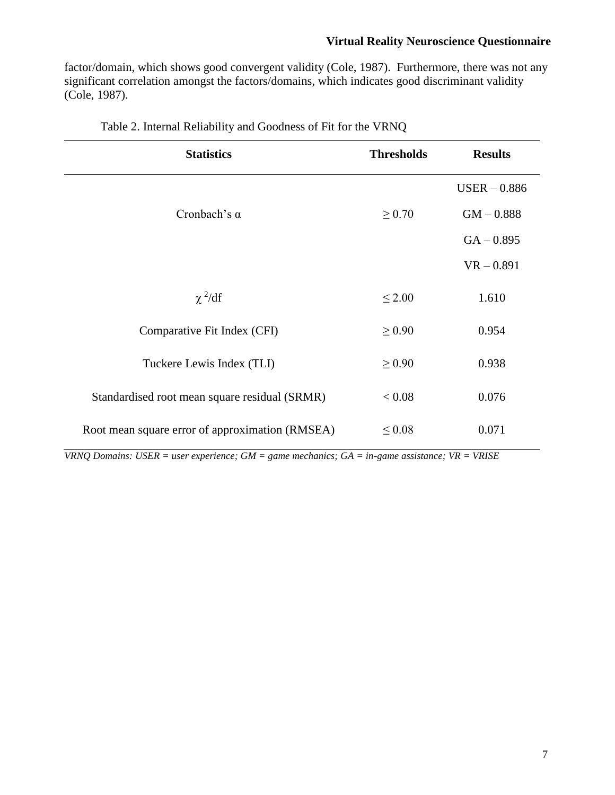factor/domain, which shows good convergent validity (Cole, 1987). Furthermore, there was not any significant correlation amongst the factors/domains, which indicates good discriminant validity (Cole, 1987).

| <b>Statistics</b>                               | <b>Thresholds</b> | <b>Results</b> |
|-------------------------------------------------|-------------------|----------------|
|                                                 |                   | $USER - 0.886$ |
| Cronbach's $\alpha$                             | $\geq 0.70$       | $GM - 0.888$   |
|                                                 |                   | $GA - 0.895$   |
|                                                 |                   | $VR - 0.891$   |
| $\chi^2/df$                                     | $\leq 2.00$       | 1.610          |
| Comparative Fit Index (CFI)                     | $\geq 0.90$       | 0.954          |
| Tuckere Lewis Index (TLI)                       | $\geq 0.90$       | 0.938          |
| Standardised root mean square residual (SRMR)   | < 0.08            | 0.076          |
| Root mean square error of approximation (RMSEA) | $\leq 0.08$       | 0.071          |

Table 2. Internal Reliability and Goodness of Fit for the VRNQ

*VRNQ Domains: USER = user experience; GM = game mechanics; GA = in-game assistance; VR = VRISE*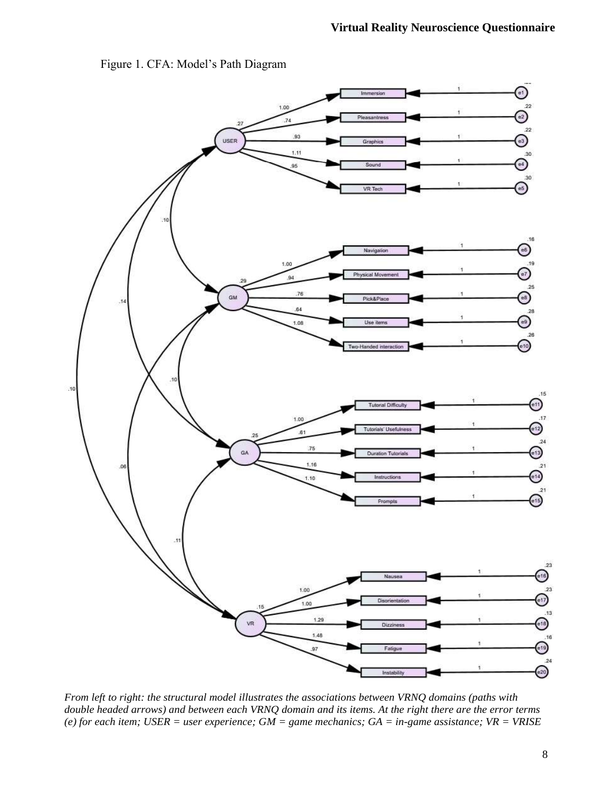

Figure 1. CFA: Model's Path Diagram

*From left to right: the structural model illustrates the associations between VRNQ domains (paths with double headed arrows) and between each VRNQ domain and its items. At the right there are the error terms (e) for each item; USER = user experience; GM = game mechanics; GA = in-game assistance; VR = VRISE*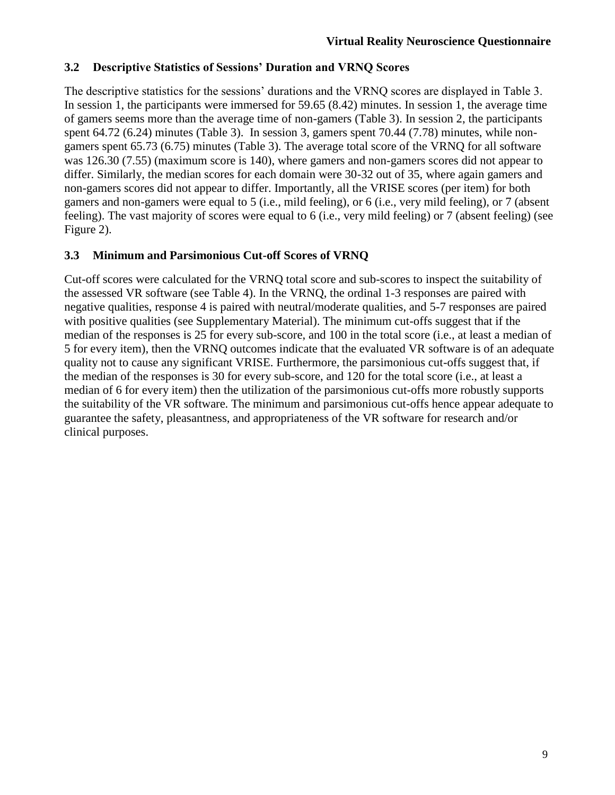# **3.2 Descriptive Statistics of Sessions' Duration and VRNQ Scores**

The descriptive statistics for the sessions' durations and the VRNQ scores are displayed in Table 3. In session 1, the participants were immersed for 59.65 (8.42) minutes. In session 1, the average time of gamers seems more than the average time of non-gamers (Table 3). In session 2, the participants spent 64.72 (6.24) minutes (Table 3). In session 3, gamers spent 70.44 (7.78) minutes, while nongamers spent 65.73 (6.75) minutes (Table 3). The average total score of the VRNQ for all software was 126.30 (7.55) (maximum score is 140), where gamers and non-gamers scores did not appear to differ. Similarly, the median scores for each domain were 30-32 out of 35, where again gamers and non-gamers scores did not appear to differ. Importantly, all the VRISE scores (per item) for both gamers and non-gamers were equal to 5 (i.e., mild feeling), or 6 (i.e., very mild feeling), or 7 (absent feeling). The vast majority of scores were equal to 6 (i.e., very mild feeling) or 7 (absent feeling) (see Figure 2).

# **3.3 Minimum and Parsimonious Cut-off Scores of VRNQ**

Cut-off scores were calculated for the VRNQ total score and sub-scores to inspect the suitability of the assessed VR software (see Table 4). In the VRNQ, the ordinal 1-3 responses are paired with negative qualities, response 4 is paired with neutral/moderate qualities, and 5-7 responses are paired with positive qualities (see Supplementary Material). The minimum cut-offs suggest that if the median of the responses is 25 for every sub-score, and 100 in the total score (i.e., at least a median of 5 for every item), then the VRNQ outcomes indicate that the evaluated VR software is of an adequate quality not to cause any significant VRISE. Furthermore, the parsimonious cut-offs suggest that, if the median of the responses is 30 for every sub-score, and 120 for the total score (i.e., at least a median of 6 for every item) then the utilization of the parsimonious cut-offs more robustly supports the suitability of the VR software. The minimum and parsimonious cut-offs hence appear adequate to guarantee the safety, pleasantness, and appropriateness of the VR software for research and/or clinical purposes.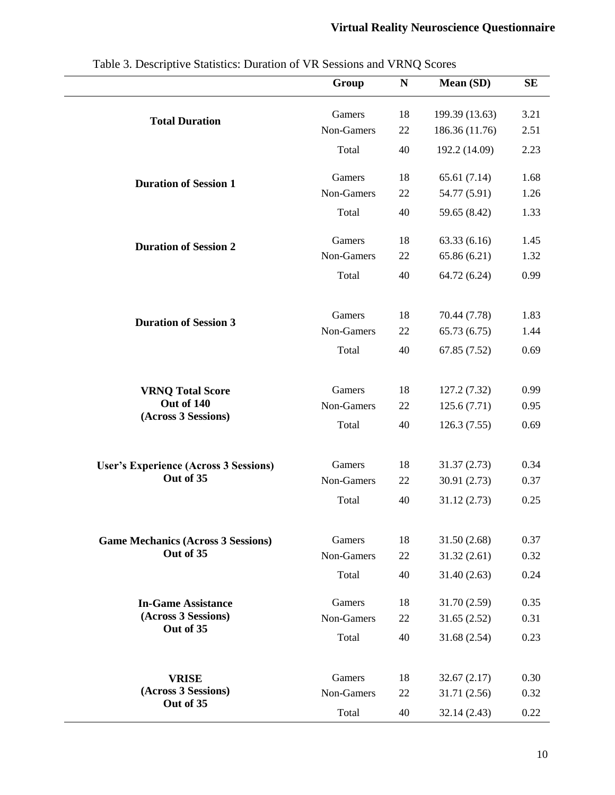|                                              | Group      | N  | Mean (SD)      | <b>SE</b> |
|----------------------------------------------|------------|----|----------------|-----------|
|                                              |            |    |                |           |
|                                              | Gamers     | 18 | 199.39 (13.63) | 3.21      |
| <b>Total Duration</b>                        | Non-Gamers | 22 | 186.36 (11.76) | 2.51      |
|                                              | Total      | 40 | 192.2 (14.09)  | 2.23      |
| <b>Duration of Session 1</b>                 | Gamers     | 18 | 65.61 (7.14)   | 1.68      |
|                                              | Non-Gamers | 22 | 54.77 (5.91)   | 1.26      |
|                                              | Total      | 40 | 59.65 (8.42)   | 1.33      |
| <b>Duration of Session 2</b>                 | Gamers     | 18 | 63.33(6.16)    | 1.45      |
|                                              | Non-Gamers | 22 | 65.86 (6.21)   | 1.32      |
|                                              | Total      | 40 | 64.72 (6.24)   | 0.99      |
|                                              | Gamers     | 18 | 70.44 (7.78)   | 1.83      |
| <b>Duration of Session 3</b>                 | Non-Gamers | 22 | 65.73(6.75)    | 1.44      |
|                                              | Total      | 40 | 67.85 (7.52)   | 0.69      |
|                                              |            |    |                |           |
| <b>VRNQ Total Score</b>                      | Gamers     | 18 | 127.2 (7.32)   | 0.99      |
| Out of 140<br>(Across 3 Sessions)            | Non-Gamers | 22 | 125.6(7.71)    | 0.95      |
|                                              | Total      | 40 | 126.3(7.55)    | 0.69      |
| <b>User's Experience (Across 3 Sessions)</b> | Gamers     | 18 | 31.37(2.73)    | 0.34      |
| Out of 35                                    | Non-Gamers | 22 | 30.91 (2.73)   | 0.37      |
|                                              | Total      | 40 | 31.12(2.73)    | 0.25      |
|                                              |            |    |                |           |
| <b>Game Mechanics (Across 3 Sessions)</b>    | Gamers     | 18 | 31.50 (2.68)   | 0.37      |
| Out of 35                                    | Non-Gamers | 22 | 31.32(2.61)    | 0.32      |
|                                              | Total      | 40 | 31.40 (2.63)   | 0.24      |
| <b>In-Game Assistance</b>                    | Gamers     | 18 | 31.70 (2.59)   | 0.35      |
| (Across 3 Sessions)                          | Non-Gamers | 22 | 31.65 (2.52)   | 0.31      |
| Out of 35                                    | Total      | 40 | 31.68 (2.54)   | 0.23      |
|                                              |            |    |                |           |
| <b>VRISE</b><br>(Across 3 Sessions)          | Gamers     | 18 | 32.67(2.17)    | 0.30      |
| Out of 35                                    | Non-Gamers | 22 | 31.71 (2.56)   | 0.32      |
|                                              | Total      | 40 | 32.14 (2.43)   | 0.22      |

Table 3. Descriptive Statistics: Duration of VR Sessions and VRNQ Scores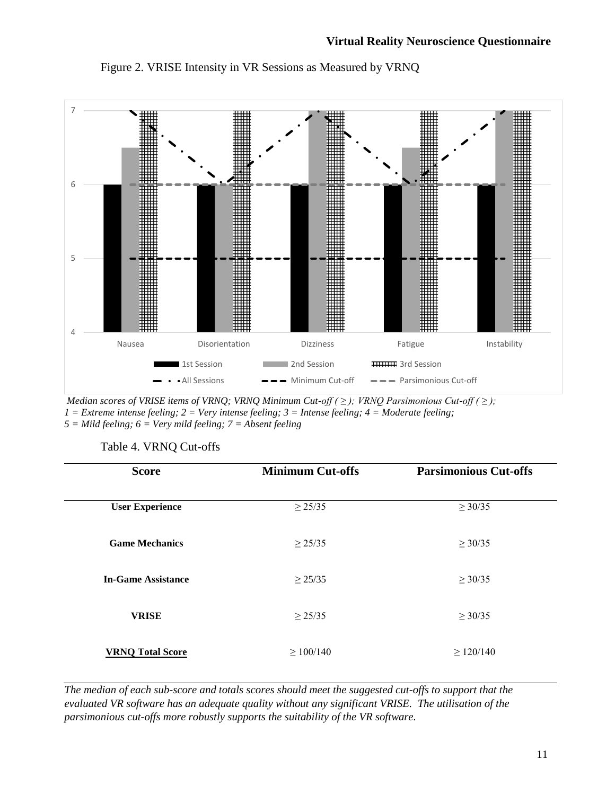

Figure 2. VRISE Intensity in VR Sessions as Measured by VRNQ

*Median scores of VRISE items of VRNQ; VRNQ Minimum Cut-off (* $\geq$ *); VRNQ Parsimonious Cut-off (* $\geq$ *); 1 = Extreme intense feeling; 2 = Very intense feeling; 3 = Intense feeling; 4 = Moderate feeling; 5 = Mild feeling; 6 = Very mild feeling; 7 = Absent feeling*

| <b>Score</b>              | <b>Minimum Cut-offs</b> | <b>Parsimonious Cut-offs</b> |
|---------------------------|-------------------------|------------------------------|
| <b>User Experience</b>    | $\geq$ 25/35            | $\geq 30/35$                 |
| <b>Game Mechanics</b>     | $\geq$ 25/35            | $\geq$ 30/35                 |
| <b>In-Game Assistance</b> | $\geq$ 25/35            | $\geq$ 30/35                 |
| <b>VRISE</b>              | $\geq$ 25/35            | $\geq$ 30/35                 |
| <b>VRNQ Total Score</b>   | >100/140                | $\geq$ 120/140               |

# Table 4. VRNQ Cut-offs

*The median of each sub-score and totals scores should meet the suggested cut-offs to support that the evaluated VR software has an adequate quality without any significant VRISE. The utilisation of the parsimonious cut-offs more robustly supports the suitability of the VR software.*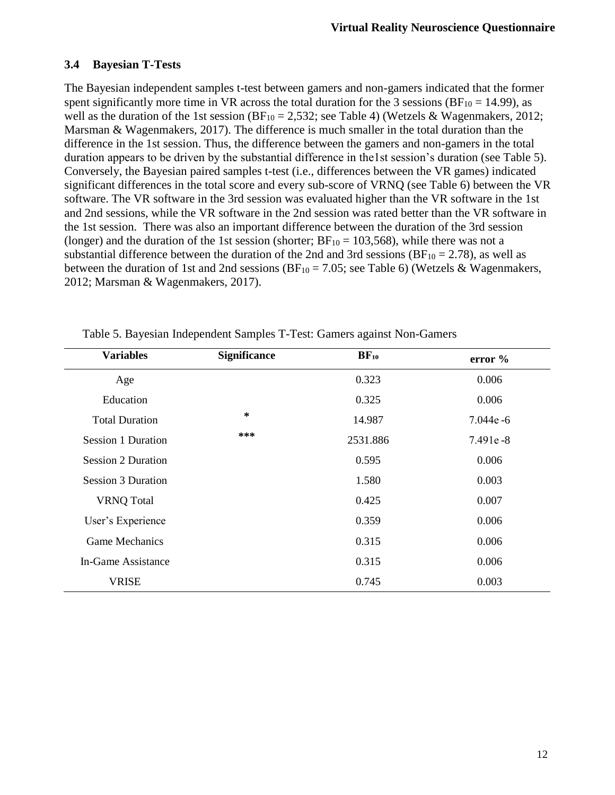#### **3.4 Bayesian T-Tests**

The Bayesian independent samples t-test between gamers and non-gamers indicated that the former spent significantly more time in VR across the total duration for the 3 sessions ( $BF_{10} = 14.99$ ), as well as the duration of the 1st session ( $BF_{10} = 2,532$ ; see Table 4) (Wetzels & Wagenmakers, 2012; Marsman & Wagenmakers, 2017). The difference is much smaller in the total duration than the difference in the 1st session. Thus, the difference between the gamers and non-gamers in the total duration appears to be driven by the substantial difference in the1st session's duration (see Table 5). Conversely, the Bayesian paired samples t-test (i.e., differences between the VR games) indicated significant differences in the total score and every sub-score of VRNQ (see Table 6) between the VR software. The VR software in the 3rd session was evaluated higher than the VR software in the 1st and 2nd sessions, while the VR software in the 2nd session was rated better than the VR software in the 1st session. There was also an important difference between the duration of the 3rd session (longer) and the duration of the 1st session (shorter;  $BF_{10} = 103,568$ ), while there was not a substantial difference between the duration of the 2nd and 3rd sessions ( $BF_{10} = 2.78$ ), as well as between the duration of 1st and 2nd sessions ( $BF_{10} = 7.05$ ; see Table 6) (Wetzels & Wagenmakers, 2012; Marsman & Wagenmakers, 2017).

| <b>Variables</b>          | <b>Significance</b> | $BF_{10}$ | error $\%$   |
|---------------------------|---------------------|-----------|--------------|
| Age                       |                     | 0.323     | 0.006        |
| Education                 |                     | 0.325     | 0.006        |
| <b>Total Duration</b>     | ∗                   | 14.987    | $7.044e - 6$ |
| <b>Session 1 Duration</b> | $***$               | 2531.886  | $7.491e - 8$ |
| <b>Session 2 Duration</b> |                     | 0.595     | 0.006        |
| <b>Session 3 Duration</b> |                     | 1.580     | 0.003        |
| <b>VRNQ Total</b>         |                     | 0.425     | 0.007        |
| User's Experience         |                     | 0.359     | 0.006        |
| <b>Game Mechanics</b>     |                     | 0.315     | 0.006        |
| In-Game Assistance        |                     | 0.315     | 0.006        |
| <b>VRISE</b>              |                     | 0.745     | 0.003        |

| Table 5. Bayesian Independent Samples T-Test: Gamers against Non-Gamers |  |  |  |
|-------------------------------------------------------------------------|--|--|--|
|                                                                         |  |  |  |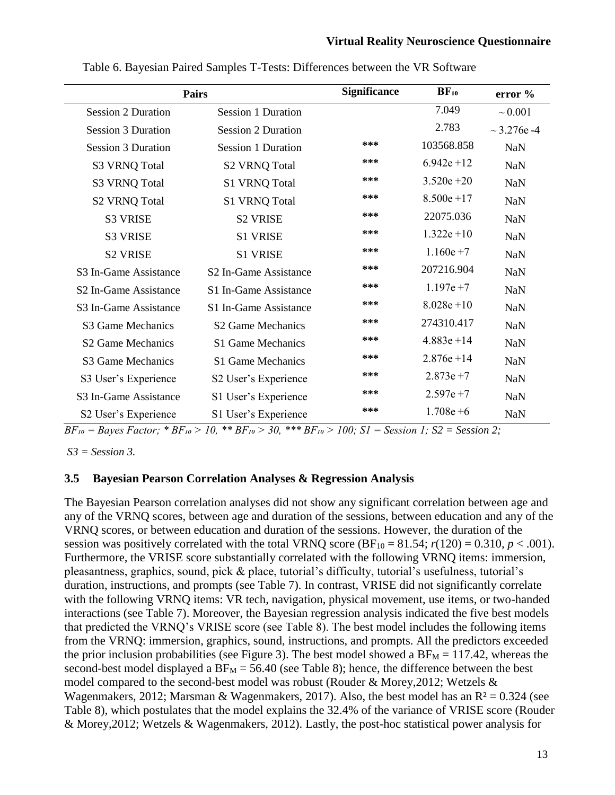|                                   | <b>Pairs</b>                      | <b>Significance</b> | $BF_{10}$     | error %          |
|-----------------------------------|-----------------------------------|---------------------|---------------|------------------|
| <b>Session 2 Duration</b>         | <b>Session 1 Duration</b>         |                     | 7.049         | $\sim 0.001$     |
| <b>Session 3 Duration</b>         | <b>Session 2 Duration</b>         |                     | 2.783         | $\sim$ 3.276e -4 |
| <b>Session 3 Duration</b>         | <b>Session 1 Duration</b>         | ***                 | 103568.858    | <b>NaN</b>       |
| S3 VRNQ Total                     | S2 VRNQ Total                     | ***                 | $6.942e + 12$ | <b>NaN</b>       |
| S3 VRNQ Total                     | S1 VRNQ Total                     | ***                 | $3.520e + 20$ | <b>NaN</b>       |
| S2 VRNQ Total                     | S1 VRNQ Total                     | ***                 | $8.500e + 17$ | <b>NaN</b>       |
| <b>S3 VRISE</b>                   | <b>S2 VRISE</b>                   | ***                 | 22075.036     | <b>NaN</b>       |
| <b>S3 VRISE</b>                   | <b>S1 VRISE</b>                   | ***                 | $1.322e + 10$ | <b>NaN</b>       |
| <b>S2 VRISE</b>                   | <b>S1 VRISE</b>                   | ***                 | $1.160e + 7$  | <b>NaN</b>       |
| S <sub>3</sub> In-Game Assistance | S <sub>2</sub> In-Game Assistance | ***                 | 207216.904    | <b>NaN</b>       |
| S <sub>2</sub> In-Game Assistance | S1 In-Game Assistance             | ***                 | $1.197e + 7$  | <b>NaN</b>       |
| S3 In-Game Assistance             | S1 In-Game Assistance             | ***                 | $8.028e + 10$ | <b>NaN</b>       |
| S <sub>3</sub> Game Mechanics     | S <sub>2</sub> Game Mechanics     | ***                 | 274310.417    | <b>NaN</b>       |
| S <sub>2</sub> Game Mechanics     | S1 Game Mechanics                 | ***                 | $4.883e + 14$ | <b>NaN</b>       |
| S <sub>3</sub> Game Mechanics     | S1 Game Mechanics                 | ***                 | $2.876e + 14$ | <b>NaN</b>       |
| S3 User's Experience              | S2 User's Experience              | ***                 | $2.873e + 7$  | <b>NaN</b>       |
| S3 In-Game Assistance             | S1 User's Experience              | ***                 | $2.597e + 7$  | <b>NaN</b>       |
| S2 User's Experience              | S1 User's Experience              | ***                 | $1.708e + 6$  | <b>NaN</b>       |

 $BF_{10} = Bayes Factor$ ; \* $BF_{10} > 10$ , \*\* $BF_{10} > 30$ , \*\*\* $BF_{10} > 100$ ;  $SI = Session 1$ ;  $S2 = Session 2$ ;

*S3 = Session 3.* 

#### **3.5 Bayesian Pearson Correlation Analyses & Regression Analysis**

The Bayesian Pearson correlation analyses did not show any significant correlation between age and any of the VRNQ scores, between age and duration of the sessions, between education and any of the VRNQ scores, or between education and duration of the sessions. However, the duration of the session was positively correlated with the total VRNQ score  $(BF_{10} = 81.54; r(120) = 0.310, p < .001)$ . Furthermore, the VRISE score substantially correlated with the following VRNQ items: immersion, pleasantness, graphics, sound, pick & place, tutorial's difficulty, tutorial's usefulness, tutorial's duration, instructions, and prompts (see Table 7). In contrast, VRISE did not significantly correlate with the following VRNQ items: VR tech, navigation, physical movement, use items, or two-handed interactions (see Table 7). Moreover, the Bayesian regression analysis indicated the five best models that predicted the VRNQ's VRISE score (see Table 8). The best model includes the following items from the VRNQ: immersion, graphics, sound, instructions, and prompts. All the predictors exceeded the prior inclusion probabilities (see Figure 3). The best model showed a  $BF_M = 117.42$ , whereas the second-best model displayed a  $BF_M = 56.40$  (see Table 8); hence, the difference between the best model compared to the second-best model was robust (Rouder & Morey,2012; Wetzels & Wagenmakers, 2012; Marsman & Wagenmakers, 2017). Also, the best model has an  $R^2 = 0.324$  (see Table 8), which postulates that the model explains the 32.4% of the variance of VRISE score (Rouder & Morey,2012; Wetzels & Wagenmakers, 2012). Lastly, the post-hoc statistical power analysis for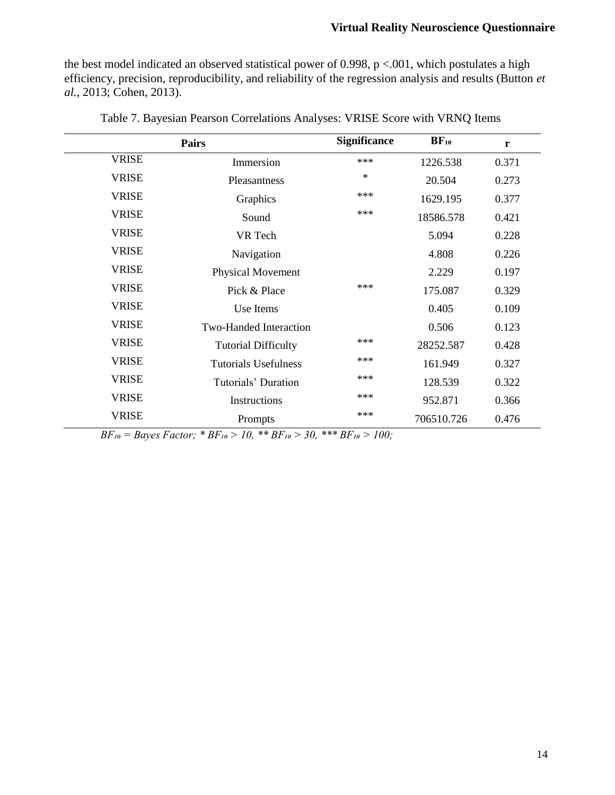the best model indicated an observed statistical power of 0.998, p <.001, which postulates a high efficiency, precision, reproducibility, and reliability of the regression analysis and results (Button *et al.*, 2013; Cohen, 2013).

|              | <b>Pairs</b>                  | <b>Significance</b> | $BF_{10}$  | r     |
|--------------|-------------------------------|---------------------|------------|-------|
| <b>VRISE</b> | Immersion                     | ***                 | 1226.538   | 0.371 |
| <b>VRISE</b> | Pleasantness                  | $\ast$              | 20.504     | 0.273 |
| <b>VRISE</b> | Graphics                      | ***                 | 1629.195   | 0.377 |
| <b>VRISE</b> | Sound                         | ***                 | 18586.578  | 0.421 |
| <b>VRISE</b> | VR Tech                       |                     | 5.094      | 0.228 |
| <b>VRISE</b> | Navigation                    |                     | 4.808      | 0.226 |
| <b>VRISE</b> | <b>Physical Movement</b>      |                     | 2.229      | 0.197 |
| <b>VRISE</b> | Pick & Place                  | ***                 | 175.087    | 0.329 |
| <b>VRISE</b> | Use Items                     |                     | 0.405      | 0.109 |
| <b>VRISE</b> | <b>Two-Handed Interaction</b> |                     | 0.506      | 0.123 |
| VRISE        | <b>Tutorial Difficulty</b>    | ***                 | 28252.587  | 0.428 |
| <b>VRISE</b> | <b>Tutorials Usefulness</b>   | ***                 | 161.949    | 0.327 |
| <b>VRISE</b> | Tutorials' Duration           | ***                 | 128.539    | 0.322 |
| <b>VRISE</b> | Instructions                  | ***                 | 952.871    | 0.366 |
| <b>VRISE</b> | Prompts                       | ***                 | 706510.726 | 0.476 |

| Table 7. Bayesian Pearson Correlations Analyses: VRISE Score with VRNQ Items |  |  |  |
|------------------------------------------------------------------------------|--|--|--|
|------------------------------------------------------------------------------|--|--|--|

*BF*<sub>*i*</sub><sup>*o*</sup> = *Bayes Factor;* \* *BF*<sub>*i*</sub><sup>*o*</sup> > 10, \*\* *BF*<sub>*i*</sub><sup>∂</sup> > 30, \*\*\* *BF*<sub>*i*</sub><sup>∂</sup> > 100*;*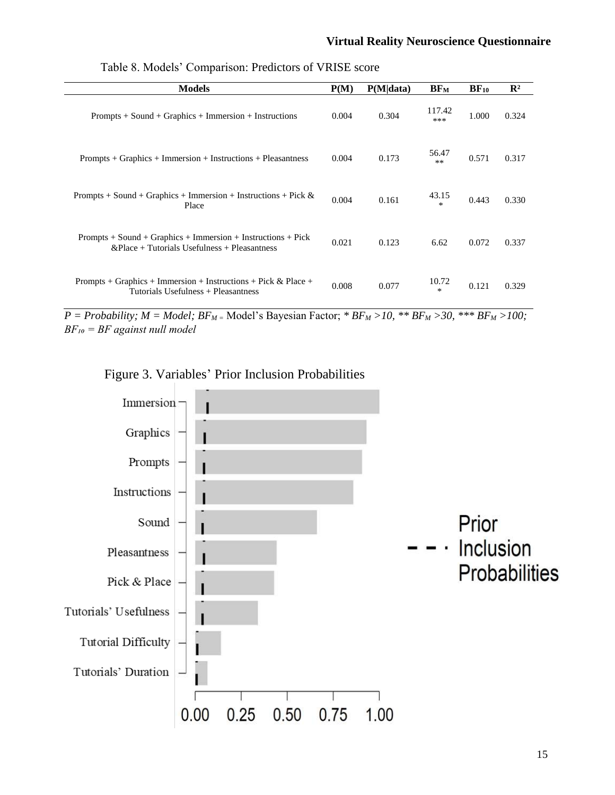| <b>Models</b>                                                                                                       | P(M)  | P(M data) | $BF_M$          | $BF_{10}$ | $\mathbf{R}^2$ |
|---------------------------------------------------------------------------------------------------------------------|-------|-----------|-----------------|-----------|----------------|
| $P$ rompts + Sound + Graphics + Immersion + Instructions                                                            | 0.004 | 0.304     | 117.42<br>***   | 1.000     | 0.324          |
| $P$ rompts + Graphics + Immersion + Instructions + Pleasantness                                                     | 0.004 | 0.173     | 56.47<br>$**$   | 0.571     | 0.317          |
| Prompts + Sound + Graphics + Immersion + Instructions + Pick $\&$<br>Place                                          | 0.004 | 0.161     | 43.15<br>$\ast$ | 0.443     | 0.330          |
| $P$ rompts + Sound + Graphics + Immersion + Instructions + Pick<br>$\&$ Place + Tutorials Usefulness + Pleasantness | 0.021 | 0.123     | 6.62            | 0.072     | 0.337          |
| Prompts + Graphics + Immersion + Instructions + Pick & Place +<br>Tutorials Usefulness + Pleasantness               | 0.008 | 0.077     | 10.72<br>*      | 0.121     | 0.329          |

Table 8. Models' Comparison: Predictors of VRISE score

 $P = Probability$ ;  $M = Model$ ;  $BF_M = Model$  *s* Bayesian Factor;  $*BF_M > 10$ ,  $**BF_M > 30$ ,  $***BF_M > 100$ ; *BF₁₀ = BF against null model*

Figure 3. Variables' Prior Inclusion Probabilities

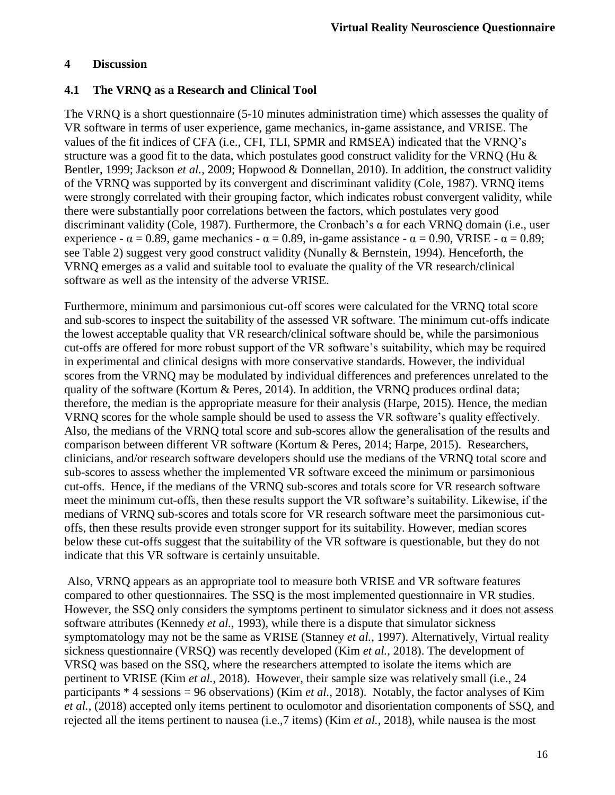#### **4 Discussion**

# **4.1 The VRNQ as a Research and Clinical Tool**

The VRNQ is a short questionnaire (5-10 minutes administration time) which assesses the quality of VR software in terms of user experience, game mechanics, in-game assistance, and VRISE. The values of the fit indices of CFA (i.e., CFI, TLI, SPMR and RMSEA) indicated that the VRNQ's structure was a good fit to the data, which postulates good construct validity for the VRNO (Hu  $\&$ Bentler, 1999; Jackson *et al.*, 2009; Hopwood & Donnellan, 2010). In addition, the construct validity of the VRNQ was supported by its convergent and discriminant validity (Cole, 1987). VRNQ items were strongly correlated with their grouping factor, which indicates robust convergent validity, while there were substantially poor correlations between the factors, which postulates very good discriminant validity (Cole, 1987). Furthermore, the Cronbach's  $\alpha$  for each VRNQ domain (i.e., user experience -  $\alpha = 0.89$ , game mechanics -  $\alpha = 0.89$ , in-game assistance -  $\alpha = 0.90$ , VRISE -  $\alpha = 0.89$ ; see Table 2) suggest very good construct validity (Nunally & Bernstein, 1994). Henceforth, the VRNQ emerges as a valid and suitable tool to evaluate the quality of the VR research/clinical software as well as the intensity of the adverse VRISE.

Furthermore, minimum and parsimonious cut-off scores were calculated for the VRNQ total score and sub-scores to inspect the suitability of the assessed VR software. The minimum cut-offs indicate the lowest acceptable quality that VR research/clinical software should be, while the parsimonious cut-offs are offered for more robust support of the VR software's suitability, which may be required in experimental and clinical designs with more conservative standards. However, the individual scores from the VRNQ may be modulated by individual differences and preferences unrelated to the quality of the software (Kortum & Peres, 2014). In addition, the VRNQ produces ordinal data; therefore, the median is the appropriate measure for their analysis (Harpe, 2015). Hence, the median VRNQ scores for the whole sample should be used to assess the VR software's quality effectively. Also, the medians of the VRNQ total score and sub-scores allow the generalisation of the results and comparison between different VR software (Kortum & Peres, 2014; Harpe, 2015). Researchers, clinicians, and/or research software developers should use the medians of the VRNQ total score and sub-scores to assess whether the implemented VR software exceed the minimum or parsimonious cut-offs. Hence, if the medians of the VRNQ sub-scores and totals score for VR research software meet the minimum cut-offs, then these results support the VR software's suitability. Likewise, if the medians of VRNQ sub-scores and totals score for VR research software meet the parsimonious cutoffs, then these results provide even stronger support for its suitability. However, median scores below these cut-offs suggest that the suitability of the VR software is questionable, but they do not indicate that this VR software is certainly unsuitable.

Also, VRNQ appears as an appropriate tool to measure both VRISE and VR software features compared to other questionnaires. The SSQ is the most implemented questionnaire in VR studies. However, the SSQ only considers the symptoms pertinent to simulator sickness and it does not assess software attributes (Kennedy *et al.*, 1993), while there is a dispute that simulator sickness symptomatology may not be the same as VRISE (Stanney *et al.*, 1997). Alternatively, Virtual reality sickness questionnaire (VRSQ) was recently developed (Kim *et al.*, 2018). The development of VRSQ was based on the SSQ, where the researchers attempted to isolate the items which are pertinent to VRISE (Kim *et al.*, 2018). However, their sample size was relatively small (i.e., 24 participants \* 4 sessions = 96 observations) (Kim *et al.*, 2018). Notably, the factor analyses of Kim *et al.*, (2018) accepted only items pertinent to oculomotor and disorientation components of SSQ, and rejected all the items pertinent to nausea (i.e.,7 items) (Kim *et al.*, 2018), while nausea is the most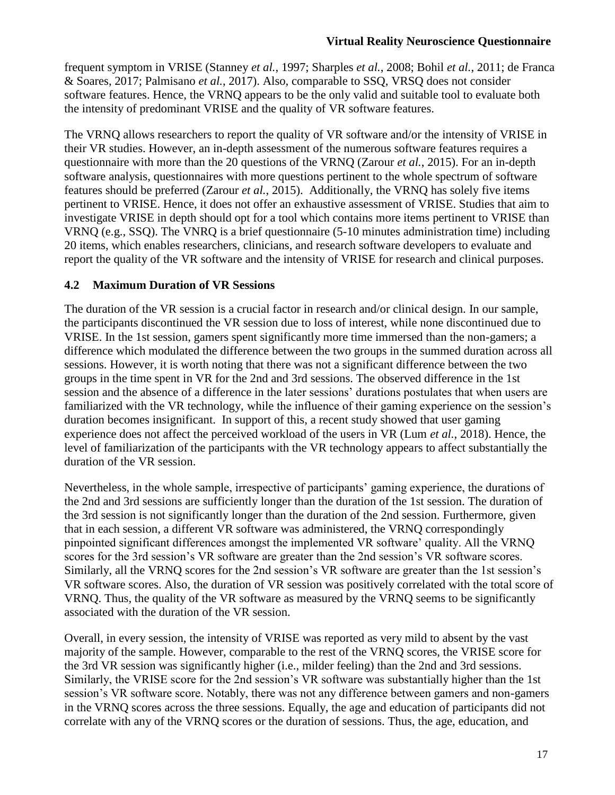frequent symptom in VRISE (Stanney *et al.*, 1997; Sharples *et al.*, 2008; Bohil *et al.*, 2011; de Franca & Soares, 2017; Palmisano *et al.*, 2017). Also, comparable to SSQ, VRSQ does not consider software features. Hence, the VRNQ appears to be the only valid and suitable tool to evaluate both the intensity of predominant VRISE and the quality of VR software features.

The VRNQ allows researchers to report the quality of VR software and/or the intensity of VRISE in their VR studies. However, an in-depth assessment of the numerous software features requires a questionnaire with more than the 20 questions of the VRNQ (Zarour *et al.*, 2015). For an in-depth software analysis, questionnaires with more questions pertinent to the whole spectrum of software features should be preferred (Zarour *et al.*, 2015). Additionally, the VRNQ has solely five items pertinent to VRISE. Hence, it does not offer an exhaustive assessment of VRISE. Studies that aim to investigate VRISE in depth should opt for a tool which contains more items pertinent to VRISE than VRNQ (e.g., SSQ). The VNRQ is a brief questionnaire (5-10 minutes administration time) including 20 items, which enables researchers, clinicians, and research software developers to evaluate and report the quality of the VR software and the intensity of VRISE for research and clinical purposes.

# **4.2 Maximum Duration of VR Sessions**

The duration of the VR session is a crucial factor in research and/or clinical design. In our sample, the participants discontinued the VR session due to loss of interest, while none discontinued due to VRISE. In the 1st session, gamers spent significantly more time immersed than the non-gamers; a difference which modulated the difference between the two groups in the summed duration across all sessions. However, it is worth noting that there was not a significant difference between the two groups in the time spent in VR for the 2nd and 3rd sessions. The observed difference in the 1st session and the absence of a difference in the later sessions' durations postulates that when users are familiarized with the VR technology, while the influence of their gaming experience on the session's duration becomes insignificant. In support of this, a recent study showed that user gaming experience does not affect the perceived workload of the users in VR (Lum *et al.*, 2018). Hence, the level of familiarization of the participants with the VR technology appears to affect substantially the duration of the VR session.

Nevertheless, in the whole sample, irrespective of participants' gaming experience, the durations of the 2nd and 3rd sessions are sufficiently longer than the duration of the 1st session. The duration of the 3rd session is not significantly longer than the duration of the 2nd session. Furthermore, given that in each session, a different VR software was administered, the VRNQ correspondingly pinpointed significant differences amongst the implemented VR software' quality. All the VRNQ scores for the 3rd session's VR software are greater than the 2nd session's VR software scores. Similarly, all the VRNQ scores for the 2nd session's VR software are greater than the 1st session's VR software scores. Also, the duration of VR session was positively correlated with the total score of VRNQ. Thus, the quality of the VR software as measured by the VRNQ seems to be significantly associated with the duration of the VR session.

Overall, in every session, the intensity of VRISE was reported as very mild to absent by the vast majority of the sample. However, comparable to the rest of the VRNQ scores, the VRISE score for the 3rd VR session was significantly higher (i.e., milder feeling) than the 2nd and 3rd sessions. Similarly, the VRISE score for the 2nd session's VR software was substantially higher than the 1st session's VR software score. Notably, there was not any difference between gamers and non-gamers in the VRNQ scores across the three sessions. Equally, the age and education of participants did not correlate with any of the VRNQ scores or the duration of sessions. Thus, the age, education, and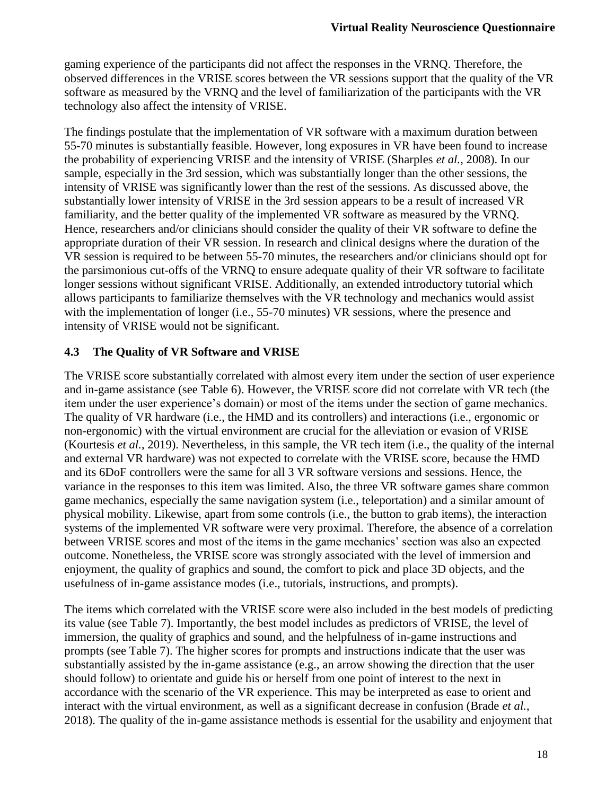gaming experience of the participants did not affect the responses in the VRNQ. Therefore, the observed differences in the VRISE scores between the VR sessions support that the quality of the VR software as measured by the VRNQ and the level of familiarization of the participants with the VR technology also affect the intensity of VRISE.

The findings postulate that the implementation of VR software with a maximum duration between 55-70 minutes is substantially feasible. However, long exposures in VR have been found to increase the probability of experiencing VRISE and the intensity of VRISE (Sharples *et al.*, 2008). In our sample, especially in the 3rd session, which was substantially longer than the other sessions, the intensity of VRISE was significantly lower than the rest of the sessions. As discussed above, the substantially lower intensity of VRISE in the 3rd session appears to be a result of increased VR familiarity, and the better quality of the implemented VR software as measured by the VRNQ. Hence, researchers and/or clinicians should consider the quality of their VR software to define the appropriate duration of their VR session. In research and clinical designs where the duration of the VR session is required to be between 55-70 minutes, the researchers and/or clinicians should opt for the parsimonious cut-offs of the VRNQ to ensure adequate quality of their VR software to facilitate longer sessions without significant VRISE. Additionally, an extended introductory tutorial which allows participants to familiarize themselves with the VR technology and mechanics would assist with the implementation of longer (i.e., 55-70 minutes) VR sessions, where the presence and intensity of VRISE would not be significant.

# **4.3 The Quality of VR Software and VRISE**

The VRISE score substantially correlated with almost every item under the section of user experience and in-game assistance (see Table 6). However, the VRISE score did not correlate with VR tech (the item under the user experience's domain) or most of the items under the section of game mechanics. The quality of VR hardware (i.e., the HMD and its controllers) and interactions (i.e., ergonomic or non-ergonomic) with the virtual environment are crucial for the alleviation or evasion of VRISE (Kourtesis *et al.*, 2019). Nevertheless, in this sample, the VR tech item (i.e., the quality of the internal and external VR hardware) was not expected to correlate with the VRISE score, because the HMD and its 6DoF controllers were the same for all 3 VR software versions and sessions. Hence, the variance in the responses to this item was limited. Also, the three VR software games share common game mechanics, especially the same navigation system (i.e., teleportation) and a similar amount of physical mobility. Likewise, apart from some controls (i.e., the button to grab items), the interaction systems of the implemented VR software were very proximal. Therefore, the absence of a correlation between VRISE scores and most of the items in the game mechanics' section was also an expected outcome. Nonetheless, the VRISE score was strongly associated with the level of immersion and enjoyment, the quality of graphics and sound, the comfort to pick and place 3D objects, and the usefulness of in-game assistance modes (i.e., tutorials, instructions, and prompts).

The items which correlated with the VRISE score were also included in the best models of predicting its value (see Table 7). Importantly, the best model includes as predictors of VRISE, the level of immersion, the quality of graphics and sound, and the helpfulness of in-game instructions and prompts (see Table 7). The higher scores for prompts and instructions indicate that the user was substantially assisted by the in-game assistance (e.g., an arrow showing the direction that the user should follow) to orientate and guide his or herself from one point of interest to the next in accordance with the scenario of the VR experience. This may be interpreted as ease to orient and interact with the virtual environment, as well as a significant decrease in confusion (Brade *et al.*, 2018). The quality of the in-game assistance methods is essential for the usability and enjoyment that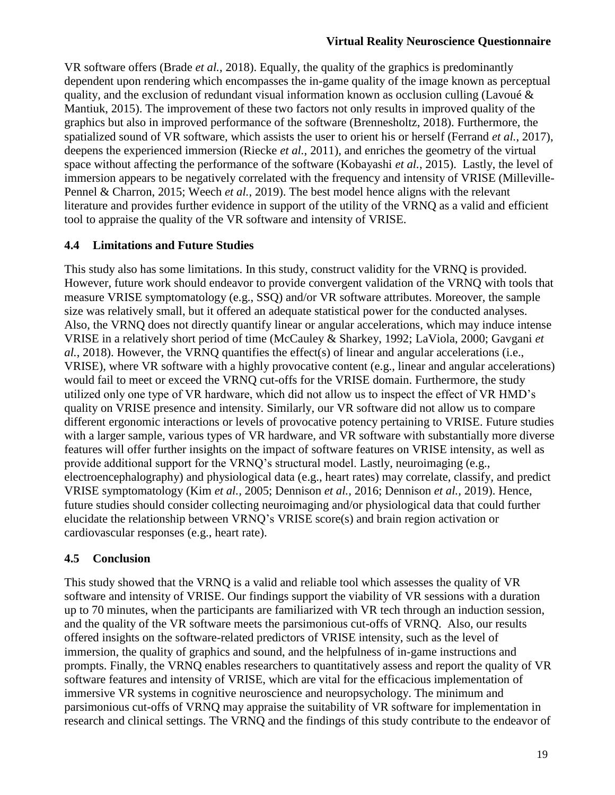VR software offers (Brade *et al.*, 2018). Equally, the quality of the graphics is predominantly dependent upon rendering which encompasses the in-game quality of the image known as perceptual quality, and the exclusion of redundant visual information known as occlusion culling (Lavoué & Mantiuk, 2015). The improvement of these two factors not only results in improved quality of the graphics but also in improved performance of the software (Brennesholtz, 2018). Furthermore, the spatialized sound of VR software, which assists the user to orient his or herself (Ferrand *et al.*, 2017), deepens the experienced immersion (Riecke *et al.*, 2011), and enriches the geometry of the virtual space without affecting the performance of the software (Kobayashi *et al.*, 2015). Lastly, the level of immersion appears to be negatively correlated with the frequency and intensity of VRISE (Milleville-Pennel & Charron, 2015; Weech *et al.*, 2019). The best model hence aligns with the relevant literature and provides further evidence in support of the utility of the VRNQ as a valid and efficient tool to appraise the quality of the VR software and intensity of VRISE.

# **4.4 Limitations and Future Studies**

This study also has some limitations. In this study, construct validity for the VRNQ is provided. However, future work should endeavor to provide convergent validation of the VRNQ with tools that measure VRISE symptomatology (e.g., SSQ) and/or VR software attributes. Moreover, the sample size was relatively small, but it offered an adequate statistical power for the conducted analyses. Also, the VRNQ does not directly quantify linear or angular accelerations, which may induce intense VRISE in a relatively short period of time (McCauley & Sharkey, 1992; LaViola, 2000; Gavgani *et al.*, 2018). However, the VRNQ quantifies the effect(s) of linear and angular accelerations (i.e., VRISE), where VR software with a highly provocative content (e.g., linear and angular accelerations) would fail to meet or exceed the VRNQ cut-offs for the VRISE domain. Furthermore, the study utilized only one type of VR hardware, which did not allow us to inspect the effect of VR HMD's quality on VRISE presence and intensity. Similarly, our VR software did not allow us to compare different ergonomic interactions or levels of provocative potency pertaining to VRISE. Future studies with a larger sample, various types of VR hardware, and VR software with substantially more diverse features will offer further insights on the impact of software features on VRISE intensity, as well as provide additional support for the VRNQ's structural model. Lastly, neuroimaging (e.g., electroencephalography) and physiological data (e.g., heart rates) may correlate, classify, and predict VRISE symptomatology (Kim *et al.,* 2005; Dennison *et al.*, 2016; Dennison *et al.,* 2019). Hence, future studies should consider collecting neuroimaging and/or physiological data that could further elucidate the relationship between VRNQ's VRISE score(s) and brain region activation or cardiovascular responses (e.g., heart rate).

# **4.5 Conclusion**

This study showed that the VRNQ is a valid and reliable tool which assesses the quality of VR software and intensity of VRISE. Our findings support the viability of VR sessions with a duration up to 70 minutes, when the participants are familiarized with VR tech through an induction session, and the quality of the VR software meets the parsimonious cut-offs of VRNQ. Also, our results offered insights on the software-related predictors of VRISE intensity, such as the level of immersion, the quality of graphics and sound, and the helpfulness of in-game instructions and prompts. Finally, the VRNQ enables researchers to quantitatively assess and report the quality of VR software features and intensity of VRISE, which are vital for the efficacious implementation of immersive VR systems in cognitive neuroscience and neuropsychology. The minimum and parsimonious cut-offs of VRNQ may appraise the suitability of VR software for implementation in research and clinical settings. The VRNQ and the findings of this study contribute to the endeavor of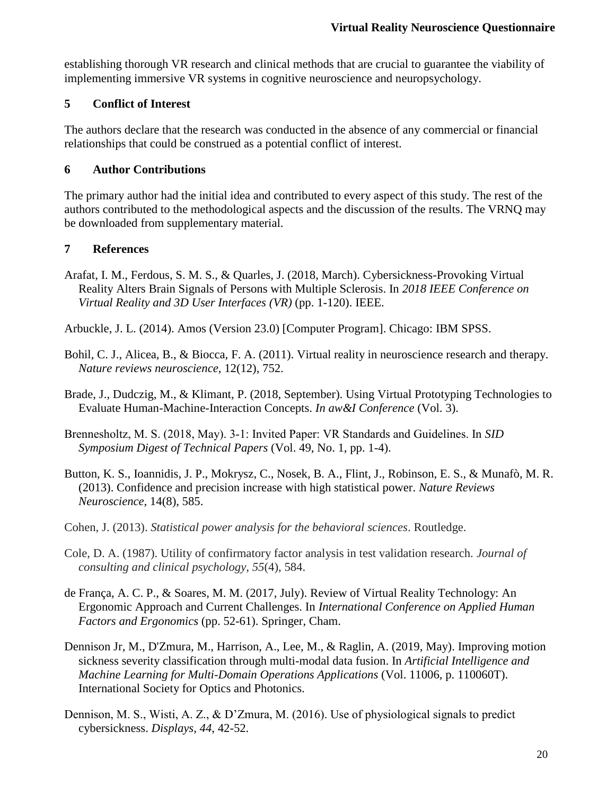establishing thorough VR research and clinical methods that are crucial to guarantee the viability of implementing immersive VR systems in cognitive neuroscience and neuropsychology.

# **5 Conflict of Interest**

The authors declare that the research was conducted in the absence of any commercial or financial relationships that could be construed as a potential conflict of interest.

### **6 Author Contributions**

The primary author had the initial idea and contributed to every aspect of this study. The rest of the authors contributed to the methodological aspects and the discussion of the results. The VRNQ may be downloaded from supplementary material.

# **7 References**

Arafat, I. M., Ferdous, S. M. S., & Quarles, J. (2018, March). Cybersickness-Provoking Virtual Reality Alters Brain Signals of Persons with Multiple Sclerosis. In *2018 IEEE Conference on Virtual Reality and 3D User Interfaces (VR)* (pp. 1-120). IEEE.

Arbuckle, J. L. (2014). Amos (Version 23.0) [Computer Program]. Chicago: IBM SPSS.

- Bohil, C. J., Alicea, B., & Biocca, F. A. (2011). Virtual reality in neuroscience research and therapy. *Nature reviews neuroscience*, 12(12), 752.
- Brade, J., Dudczig, M., & Klimant, P. (2018, September). Using Virtual Prototyping Technologies to Evaluate Human-Machine-Interaction Concepts. *In aw&I Conference* (Vol. 3).
- Brennesholtz, M. S. (2018, May). 3‐1: Invited Paper: VR Standards and Guidelines. In *SID Symposium Digest of Technical Papers* (Vol. 49, No. 1, pp. 1-4).
- Button, K. S., Ioannidis, J. P., Mokrysz, C., Nosek, B. A., Flint, J., Robinson, E. S., & Munafò, M. R. (2013). Confidence and precision increase with high statistical power. *Nature Reviews Neuroscience*, 14(8), 585.
- Cohen, J. (2013). *Statistical power analysis for the behavioral sciences*. Routledge.
- Cole, D. A. (1987). Utility of confirmatory factor analysis in test validation research. *Journal of consulting and clinical psychology*, *55*(4), 584.
- de França, A. C. P., & Soares, M. M. (2017, July). Review of Virtual Reality Technology: An Ergonomic Approach and Current Challenges. In *International Conference on Applied Human Factors and Ergonomics* (pp. 52-61). Springer, Cham.
- Dennison Jr, M., D'Zmura, M., Harrison, A., Lee, M., & Raglin, A. (2019, May). Improving motion sickness severity classification through multi-modal data fusion. In *Artificial Intelligence and Machine Learning for Multi-Domain Operations Applications* (Vol. 11006, p. 110060T). International Society for Optics and Photonics.
- Dennison, M. S., Wisti, A. Z., & D'Zmura, M. (2016). Use of physiological signals to predict cybersickness. *Displays*, *44*, 42-52.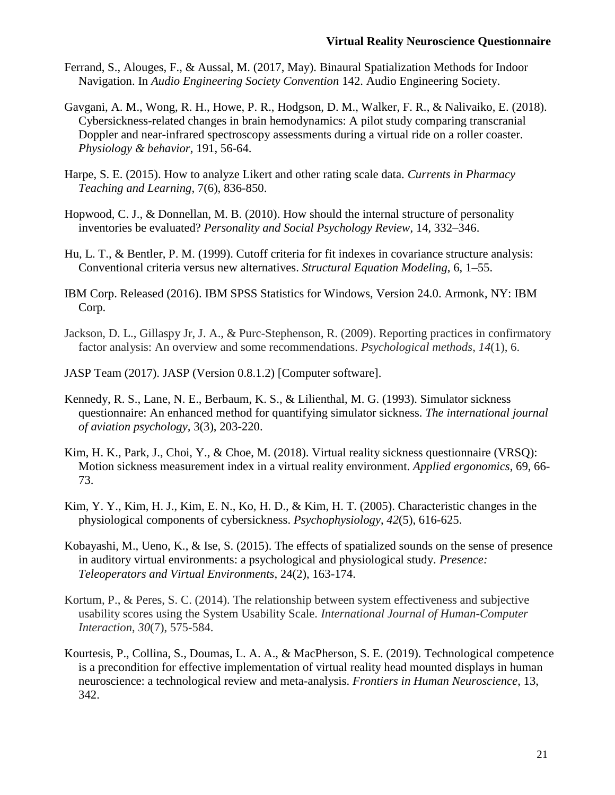- Ferrand, S., Alouges, F., & Aussal, M. (2017, May). Binaural Spatialization Methods for Indoor Navigation. In *Audio Engineering Society Convention* 142. Audio Engineering Society.
- Gavgani, A. M., Wong, R. H., Howe, P. R., Hodgson, D. M., Walker, F. R., & Nalivaiko, E. (2018). Cybersickness-related changes in brain hemodynamics: A pilot study comparing transcranial Doppler and near-infrared spectroscopy assessments during a virtual ride on a roller coaster. *Physiology & behavior*, 191, 56-64.
- Harpe, S. E. (2015). How to analyze Likert and other rating scale data. *Currents in Pharmacy Teaching and Learning*, 7(6), 836-850.
- Hopwood, C. J., & Donnellan, M. B. (2010). How should the internal structure of personality inventories be evaluated? *Personality and Social Psychology Review*, 14, 332–346.
- Hu, L. T., & Bentler, P. M. (1999). Cutoff criteria for fit indexes in covariance structure analysis: Conventional criteria versus new alternatives. *Structural Equation Modeling*, 6, 1–55.
- IBM Corp. Released (2016). IBM SPSS Statistics for Windows, Version 24.0. Armonk, NY: IBM Corp.
- Jackson, D. L., Gillaspy Jr, J. A., & Purc-Stephenson, R. (2009). Reporting practices in confirmatory factor analysis: An overview and some recommendations. *Psychological methods*, *14*(1), 6.
- JASP Team (2017). JASP (Version 0.8.1.2) [Computer software].
- Kennedy, R. S., Lane, N. E., Berbaum, K. S., & Lilienthal, M. G. (1993). Simulator sickness questionnaire: An enhanced method for quantifying simulator sickness. *The international journal of aviation psychology,* 3(3), 203-220.
- Kim, H. K., Park, J., Choi, Y., & Choe, M. (2018). Virtual reality sickness questionnaire (VRSQ): Motion sickness measurement index in a virtual reality environment. *Applied ergonomics*, 69, 66- 73.
- Kim, Y. Y., Kim, H. J., Kim, E. N., Ko, H. D., & Kim, H. T. (2005). Characteristic changes in the physiological components of cybersickness. *Psychophysiology*, *42*(5), 616-625.
- Kobayashi, M., Ueno, K., & Ise, S. (2015). The effects of spatialized sounds on the sense of presence in auditory virtual environments: a psychological and physiological study. *Presence: Teleoperators and Virtual Environments*, 24(2), 163-174.
- Kortum, P., & Peres, S. C. (2014). The relationship between system effectiveness and subjective usability scores using the System Usability Scale. *International Journal of Human-Computer Interaction*, *30*(7), 575-584.
- Kourtesis, P., Collina, S., Doumas, L. A. A., & MacPherson, S. E. (2019). Technological competence is a precondition for effective implementation of virtual reality head mounted displays in human neuroscience: a technological review and meta-analysis. *Frontiers in Human Neuroscience*, 13, 342.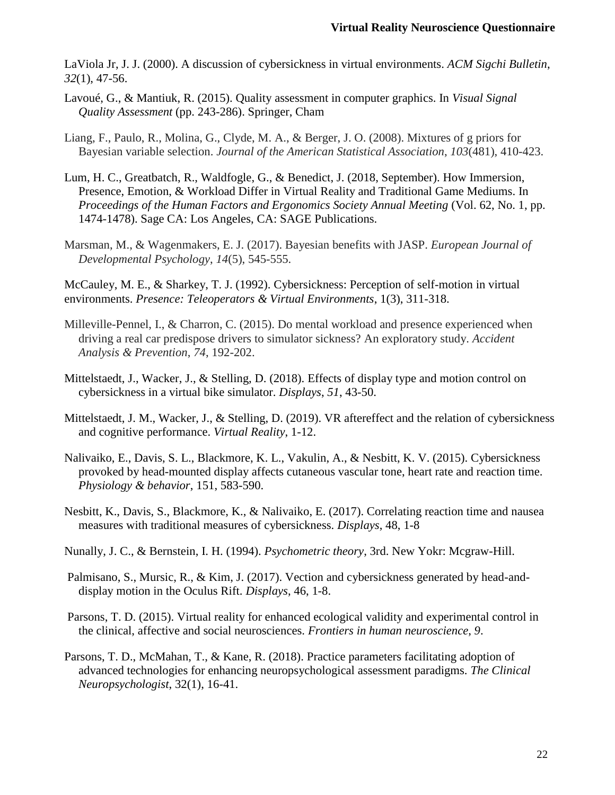LaViola Jr, J. J. (2000). A discussion of cybersickness in virtual environments. *ACM Sigchi Bulletin*, *32*(1), 47-56.

- Lavoué, G., & Mantiuk, R. (2015). Quality assessment in computer graphics. In *Visual Signal Quality Assessment* (pp. 243-286). Springer, Cham
- Liang, F., Paulo, R., Molina, G., Clyde, M. A., & Berger, J. O. (2008). Mixtures of g priors for Bayesian variable selection. *Journal of the American Statistical Association*, *103*(481), 410-423.
- Lum, H. C., Greatbatch, R., Waldfogle, G., & Benedict, J. (2018, September). How Immersion, Presence, Emotion, & Workload Differ in Virtual Reality and Traditional Game Mediums. In *Proceedings of the Human Factors and Ergonomics Society Annual Meeting* (Vol. 62, No. 1, pp. 1474-1478). Sage CA: Los Angeles, CA: SAGE Publications.
- Marsman, M., & Wagenmakers, E. J. (2017). Bayesian benefits with JASP. *European Journal of Developmental Psychology*, *14*(5), 545-555.

McCauley, M. E., & Sharkey, T. J. (1992). Cybersickness: Perception of self-motion in virtual environments. *Presence: Teleoperators & Virtual Environments*, 1(3), 311-318.

- Milleville-Pennel, I., & Charron, C. (2015). Do mental workload and presence experienced when driving a real car predispose drivers to simulator sickness? An exploratory study. *Accident Analysis & Prevention*, *74*, 192-202.
- Mittelstaedt, J., Wacker, J., & Stelling, D. (2018). Effects of display type and motion control on cybersickness in a virtual bike simulator. *Displays*, *51*, 43-50.
- Mittelstaedt, J. M., Wacker, J., & Stelling, D. (2019). VR aftereffect and the relation of cybersickness and cognitive performance. *Virtual Reality*, 1-12.
- Nalivaiko, E., Davis, S. L., Blackmore, K. L., Vakulin, A., & Nesbitt, K. V. (2015). Cybersickness provoked by head-mounted display affects cutaneous vascular tone, heart rate and reaction time. *Physiology & behavior*, 151, 583-590.
- Nesbitt, K., Davis, S., Blackmore, K., & Nalivaiko, E. (2017). Correlating reaction time and nausea measures with traditional measures of cybersickness. *Displays*, 48, 1-8
- Nunally, J. C., & Bernstein, I. H. (1994). *Psychometric theory*, 3rd. New Yokr: Mcgraw-Hill.
- Palmisano, S., Mursic, R., & Kim, J. (2017). Vection and cybersickness generated by head-anddisplay motion in the Oculus Rift. *Displays*, 46, 1-8.

Parsons, T. D. (2015). Virtual reality for enhanced ecological validity and experimental control in the clinical, affective and social neurosciences. *Frontiers in human neuroscience*, *9*.

Parsons, T. D., McMahan, T., & Kane, R. (2018). Practice parameters facilitating adoption of advanced technologies for enhancing neuropsychological assessment paradigms. *The Clinical Neuropsychologist*, 32(1), 16-41.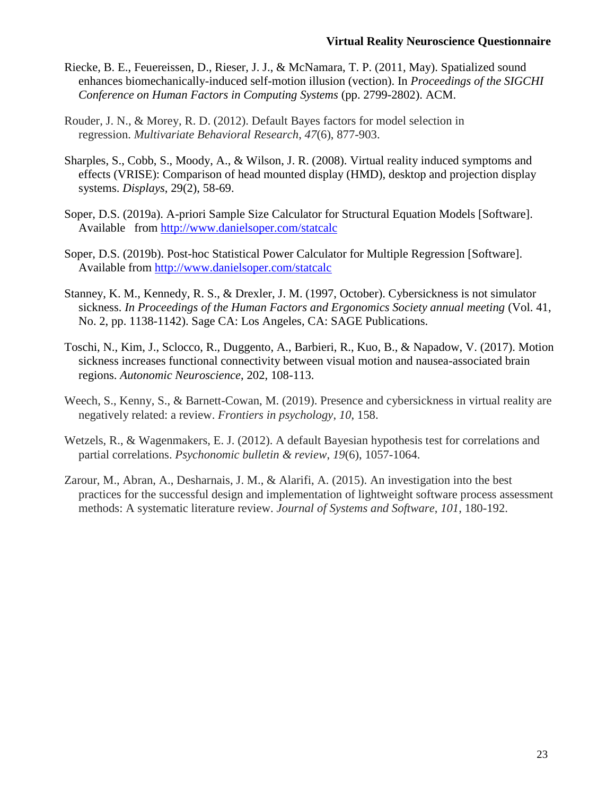- Riecke, B. E., Feuereissen, D., Rieser, J. J., & McNamara, T. P. (2011, May). Spatialized sound enhances biomechanically-induced self-motion illusion (vection). In *Proceedings of the SIGCHI Conference on Human Factors in Computing Systems* (pp. 2799-2802). ACM.
- Rouder, J. N., & Morey, R. D. (2012). Default Bayes factors for model selection in regression. *Multivariate Behavioral Research*, *47*(6), 877-903.
- Sharples, S., Cobb, S., Moody, A., & Wilson, J. R. (2008). Virtual reality induced symptoms and effects (VRISE): Comparison of head mounted display (HMD), desktop and projection display systems. *Displays*, 29(2), 58-69.
- Soper, D.S. (2019a). A-priori Sample Size Calculator for Structural Equation Models [Software]. Available from<http://www.danielsoper.com/statcalc>
- Soper, D.S. (2019b). Post-hoc Statistical Power Calculator for Multiple Regression [Software]. Available from<http://www.danielsoper.com/statcalc>
- Stanney, K. M., Kennedy, R. S., & Drexler, J. M. (1997, October). Cybersickness is not simulator sickness. *In Proceedings of the Human Factors and Ergonomics Society annual meeting* (Vol. 41, No. 2, pp. 1138-1142). Sage CA: Los Angeles, CA: SAGE Publications.
- Toschi, N., Kim, J., Sclocco, R., Duggento, A., Barbieri, R., Kuo, B., & Napadow, V. (2017). Motion sickness increases functional connectivity between visual motion and nausea-associated brain regions. *Autonomic Neuroscience*, 202, 108-113.
- Weech, S., Kenny, S., & Barnett-Cowan, M. (2019). Presence and cybersickness in virtual reality are negatively related: a review. *Frontiers in psychology*, *10*, 158.
- Wetzels, R., & Wagenmakers, E. J. (2012). A default Bayesian hypothesis test for correlations and partial correlations. *Psychonomic bulletin & review*, *19*(6), 1057-1064.
- Zarour, M., Abran, A., Desharnais, J. M., & Alarifi, A. (2015). An investigation into the best practices for the successful design and implementation of lightweight software process assessment methods: A systematic literature review. *Journal of Systems and Software*, *101*, 180-192.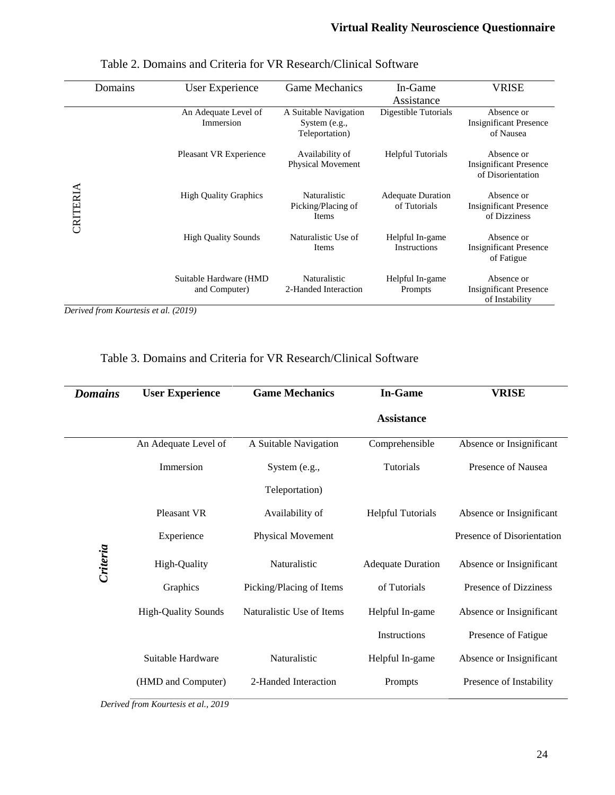|          | Domains | User Experience                         | <b>Game Mechanics</b>                                    | In-Game                                  | <b>VRISE</b>                                                     |
|----------|---------|-----------------------------------------|----------------------------------------------------------|------------------------------------------|------------------------------------------------------------------|
|          |         |                                         |                                                          | Assistance                               |                                                                  |
|          |         | An Adequate Level of<br>Immersion       | A Suitable Navigation<br>System (e.g.,<br>Teleportation) | Digestible Tutorials                     | Absence or<br><b>Insignificant Presence</b><br>of Nausea         |
|          |         | Pleasant VR Experience                  | Availability of<br><b>Physical Movement</b>              | <b>Helpful Tutorials</b>                 | Absence or<br><b>Insignificant Presence</b><br>of Disorientation |
| CRITERIA |         | <b>High Quality Graphics</b>            | Naturalistic<br>Picking/Placing of<br>Items              | <b>Adequate Duration</b><br>of Tutorials | Absence or<br><b>Insignificant Presence</b><br>of Dizziness      |
|          |         | <b>High Quality Sounds</b>              | Naturalistic Use of<br>Items                             | Helpful In-game<br>Instructions          | Absence or<br><b>Insignificant Presence</b><br>of Fatigue        |
|          |         | Suitable Hardware (HMD<br>and Computer) | Naturalistic<br>2-Handed Interaction                     | Helpful In-game<br>Prompts               | Absence or<br><b>Insignificant Presence</b><br>of Instability    |

Table 2. Domains and Criteria for VR Research/Clinical Software

*Derived from Kourtesis et al. (2019)*

# Table 3. Domains and Criteria for VR Research/Clinical Software

| <b>Domains</b> | <b>User Experience</b>     | <b>Game Mechanics</b>     | <b>In-Game</b>           | <b>VRISE</b>               |
|----------------|----------------------------|---------------------------|--------------------------|----------------------------|
|                |                            |                           | <b>Assistance</b>        |                            |
|                | An Adequate Level of       | A Suitable Navigation     | Comprehensible           | Absence or Insignificant   |
|                | Immersion                  | System (e.g.,             | <b>Tutorials</b>         | Presence of Nausea         |
|                |                            | Teleportation)            |                          |                            |
| Criteria       | Pleasant VR                | Availability of           | <b>Helpful Tutorials</b> | Absence or Insignificant   |
|                | Experience                 | Physical Movement         |                          | Presence of Disorientation |
|                | High-Quality               | Naturalistic              | <b>Adequate Duration</b> | Absence or Insignificant   |
|                | Graphics                   | Picking/Placing of Items  | of Tutorials             | Presence of Dizziness      |
|                | <b>High-Quality Sounds</b> | Naturalistic Use of Items | Helpful In-game          | Absence or Insignificant   |
|                |                            |                           | Instructions             | Presence of Fatigue        |
|                | Suitable Hardware          | Naturalistic              | Helpful In-game          | Absence or Insignificant   |
|                | (HMD and Computer)         | 2-Handed Interaction      | Prompts                  | Presence of Instability    |

*Derived from Kourtesis et al., 2019*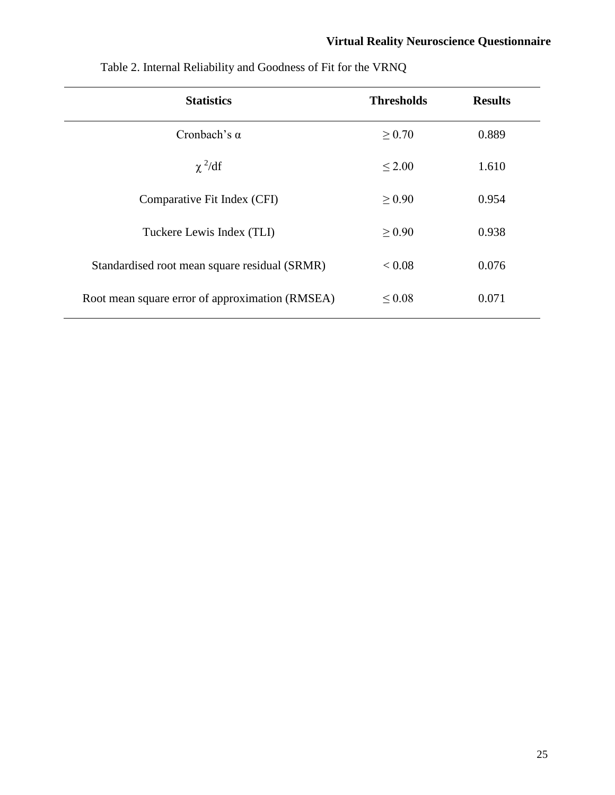| <b>Statistics</b>                               | <b>Thresholds</b> | <b>Results</b> |
|-------------------------------------------------|-------------------|----------------|
| Cronbach's $\alpha$                             | > 0.70            | 0.889          |
| $\chi^2/df$                                     | ${}< 2.00$        | 1.610          |
| Comparative Fit Index (CFI)                     | > 0.90            | 0.954          |
| Tuckere Lewis Index (TLI)                       | > 0.90            | 0.938          |
| Standardised root mean square residual (SRMR)   | < 0.08            | 0.076          |
| Root mean square error of approximation (RMSEA) | ${}_{0.08}$       | 0.071          |

Table 2. Internal Reliability and Goodness of Fit for the VRNQ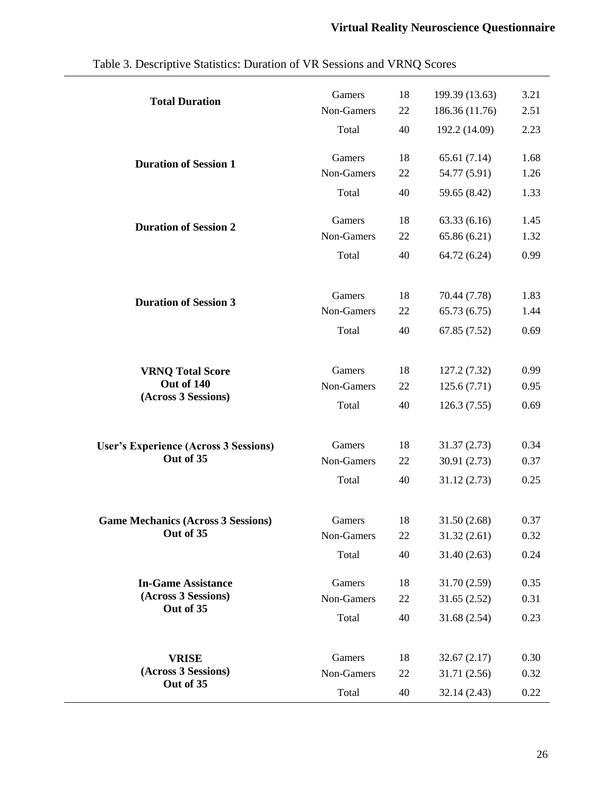| <b>Total Duration</b>                        | Gamers                             | 18 | 199.39 (13.63) | 3.21 |
|----------------------------------------------|------------------------------------|----|----------------|------|
|                                              | Non-Gamers                         | 22 | 186.36 (11.76) | 2.51 |
|                                              | Total                              | 40 | 192.2 (14.09)  | 2.23 |
| <b>Duration of Session 1</b>                 | Gamers                             | 18 | 65.61 (7.14)   | 1.68 |
|                                              | Non-Gamers                         | 22 | 54.77 (5.91)   | 1.26 |
|                                              | Total                              | 40 | 59.65 (8.42)   | 1.33 |
| <b>Duration of Session 2</b>                 | Gamers                             | 18 | 63.33(6.16)    | 1.45 |
|                                              | Non-Gamers                         | 22 | 65.86(6.21)    | 1.32 |
|                                              | Total                              | 40 | 64.72 (6.24)   | 0.99 |
|                                              | Gamers                             | 18 | 70.44 (7.78)   | 1.83 |
| <b>Duration of Session 3</b>                 | Non-Gamers                         | 22 | 65.73 (6.75)   | 1.44 |
|                                              | Total                              | 40 | 67.85 (7.52)   | 0.69 |
|                                              |                                    |    |                |      |
| <b>VRNQ Total Score</b>                      | Gamers                             | 18 | 127.2 (7.32)   | 0.99 |
| Out of 140                                   | Non-Gamers                         | 22 | 125.6(7.71)    | 0.95 |
|                                              | (Across 3 Sessions)<br>Total<br>40 |    | 126.3(7.55)    | 0.69 |
| <b>User's Experience (Across 3 Sessions)</b> | Gamers                             | 18 | 31.37 (2.73)   | 0.34 |
| Out of 35                                    | Non-Gamers                         | 22 | 30.91 (2.73)   | 0.37 |
|                                              | Total                              | 40 | 31.12 (2.73)   | 0.25 |
|                                              |                                    |    |                |      |
| <b>Game Mechanics (Across 3 Sessions)</b>    | Gamers                             | 18 | 31.50 (2.68)   | 0.37 |
| Out of 35                                    | Non-Gamers                         | 22 | 31.32(2.61)    | 0.32 |
|                                              | Total                              | 40 | 31.40 (2.63)   | 0.24 |
| <b>In-Game Assistance</b>                    | Gamers                             | 18 | 31.70 (2.59)   | 0.35 |
| (Across 3 Sessions)                          | Non-Gamers                         | 22 | 31.65(2.52)    | 0.31 |
| Out of 35                                    | Total                              | 40 | 31.68 (2.54)   | 0.23 |
|                                              |                                    |    |                |      |
| <b>VRISE</b>                                 | Gamers                             | 18 | 32.67(2.17)    | 0.30 |
| (Across 3 Sessions)<br>Out of 35             | Non-Gamers                         | 22 | 31.71 (2.56)   | 0.32 |
|                                              | Total                              | 40 | 32.14 (2.43)   | 0.22 |

| Table 3. Descriptive Statistics: Duration of VR Sessions and VRNQ Scores |
|--------------------------------------------------------------------------|
|--------------------------------------------------------------------------|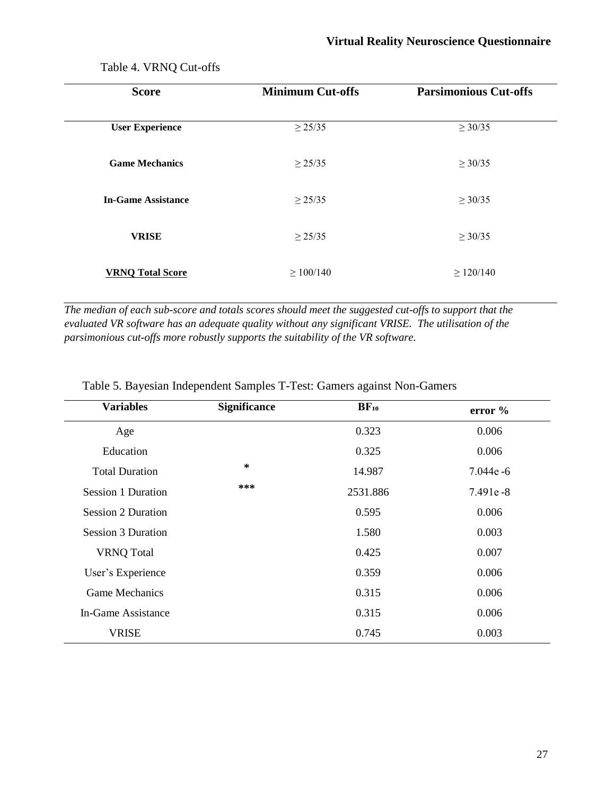| <b>Score</b>              | <b>Minimum Cut-offs</b> | <b>Parsimonious Cut-offs</b> |  |  |
|---------------------------|-------------------------|------------------------------|--|--|
| <b>User Experience</b>    | $\geq$ 25/35            | $\geq 30/35$                 |  |  |
| <b>Game Mechanics</b>     | $\geq$ 25/35            | $\geq 30/35$                 |  |  |
| <b>In-Game Assistance</b> | $\geq$ 25/35            | $\geq$ 30/35                 |  |  |
| <b>VRISE</b>              | $\geq$ 25/35            | $\geq$ 30/35                 |  |  |
| <b>VRNQ Total Score</b>   | $\geq 100/140$          | $\geq$ 120/140               |  |  |

Table 4. VRNQ Cut-offs

*The median of each sub-score and totals scores should meet the suggested cut-offs to support that the evaluated VR software has an adequate quality without any significant VRISE. The utilisation of the parsimonious cut-offs more robustly supports the suitability of the VR software.*

| <b>Variables</b>          | <b>Significance</b> | $BF_{10}$ | error %      |
|---------------------------|---------------------|-----------|--------------|
| Age                       |                     | 0.323     | 0.006        |
| Education                 |                     | 0.325     | 0.006        |
| <b>Total Duration</b>     | ∗                   | 14.987    | $7.044e - 6$ |
| <b>Session 1 Duration</b> | ***                 | 2531.886  | $7.491e - 8$ |
| <b>Session 2 Duration</b> |                     | 0.595     | 0.006        |
| <b>Session 3 Duration</b> |                     | 1.580     | 0.003        |
| <b>VRNQ Total</b>         |                     | 0.425     | 0.007        |
| User's Experience         |                     | 0.359     | 0.006        |
| <b>Game Mechanics</b>     |                     | 0.315     | 0.006        |
| In-Game Assistance        |                     | 0.315     | 0.006        |
| VRISE                     |                     | 0.745     | 0.003        |

Table 5. Bayesian Independent Samples T-Test: Gamers against Non-Gamers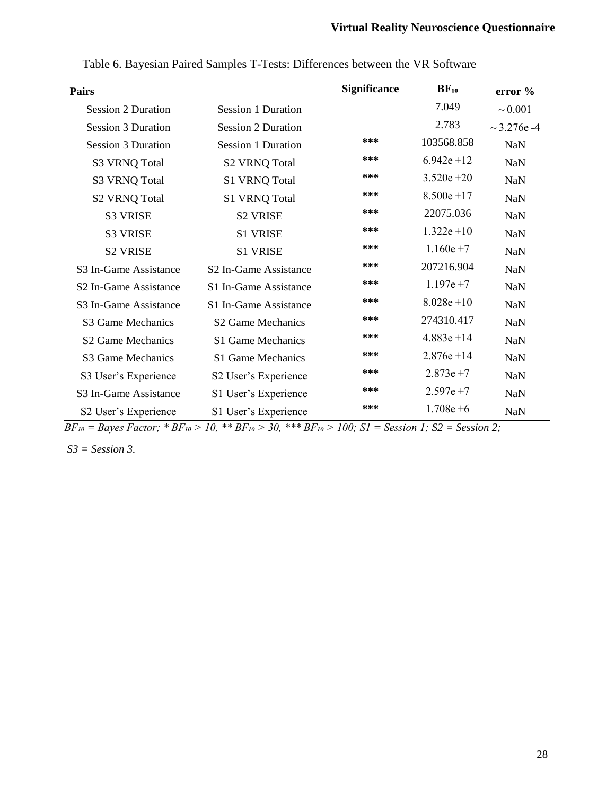| <b>Pairs</b>                      |                                   | <b>Significance</b> | $BF_{10}$     | error %          |
|-----------------------------------|-----------------------------------|---------------------|---------------|------------------|
| <b>Session 2 Duration</b>         | <b>Session 1 Duration</b>         |                     | 7.049         | $\sim 0.001$     |
| <b>Session 3 Duration</b>         | <b>Session 2 Duration</b>         |                     | 2.783         | $\sim$ 3.276e -4 |
| <b>Session 3 Duration</b>         | <b>Session 1 Duration</b>         | ***                 | 103568.858    | <b>NaN</b>       |
| S3 VRNQ Total                     | S2 VRNQ Total                     | ***                 | $6.942e + 12$ | <b>NaN</b>       |
| S3 VRNQ Total                     | S1 VRNQ Total                     | ***                 | $3.520e + 20$ | <b>NaN</b>       |
| S2 VRNQ Total                     | S1 VRNQ Total                     | ***                 | $8.500e + 17$ | <b>NaN</b>       |
| <b>S3 VRISE</b>                   | <b>S2 VRISE</b>                   | ***                 | 22075.036     | <b>NaN</b>       |
| <b>S3 VRISE</b>                   | <b>S1 VRISE</b>                   | ***                 | $1.322e + 10$ | <b>NaN</b>       |
| <b>S2 VRISE</b>                   | <b>S1 VRISE</b>                   | ***                 | $1.160e + 7$  | <b>NaN</b>       |
| S <sub>3</sub> In-Game Assistance | S <sub>2</sub> In-Game Assistance | ***                 | 207216.904    | <b>NaN</b>       |
| S <sub>2</sub> In-Game Assistance | S1 In-Game Assistance             | ***                 | $1.197e + 7$  | <b>NaN</b>       |
| S3 In-Game Assistance             | S1 In-Game Assistance             | ***                 | $8.028e + 10$ | <b>NaN</b>       |
| S <sub>3</sub> Game Mechanics     | S <sub>2</sub> Game Mechanics     | ***                 | 274310.417    | <b>NaN</b>       |
| S <sub>2</sub> Game Mechanics     | S1 Game Mechanics                 | ***                 | $4.883e + 14$ | <b>NaN</b>       |
| S <sub>3</sub> Game Mechanics     | S1 Game Mechanics                 | ***                 | $2.876e + 14$ | <b>NaN</b>       |
| S3 User's Experience              | S2 User's Experience              | ***                 | $2.873e + 7$  | <b>NaN</b>       |
| S <sub>3</sub> In-Game Assistance | S1 User's Experience              | ***                 | $2.597e + 7$  | <b>NaN</b>       |
| S2 User's Experience              | S1 User's Experience              | ***                 | $1.708e + 6$  | <b>NaN</b>       |

Table 6. Bayesian Paired Samples T-Tests: Differences between the VR Software

*BF₁₀ = Bayes Factor; \* BF₁₀ > 10, \*\* BF₁₀ > 30, \*\*\* BF₁₀ > 100; S1 = Session 1; S2 = Session 2;*

*S3 = Session 3.*